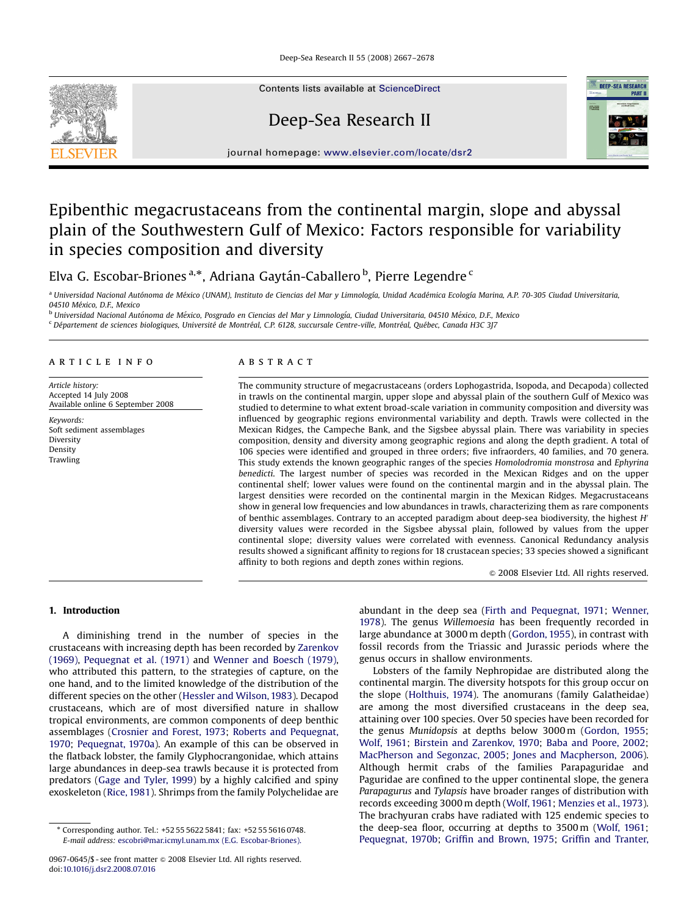Deep-Sea Research II 55 (2008) 2667–2678



Contents lists available at [ScienceDirect](www.sciencedirect.com/science/journal/dsrii)

# Deep-Sea Research II



journal homepage: <www.elsevier.com/locate/dsr2>

# Epibenthic megacrustaceans from the continental margin, slope and abyssal plain of the Southwestern Gulf of Mexico: Factors responsible for variability in species composition and diversity

Elva G. Escobar-Briones <sup>a,</sup>\*, Adriana Gaytán-Caballero <sup>b</sup>, Pierre Legendre <sup>c</sup>

<sup>a</sup> Universidad Nacional Autónoma de México (UNAM), Instituto de Ciencias del Mar y Limnología, Unidad Académica Ecología Marina, A.P. 70-305 Ciudad Universitaria, 04510 México, D.F., Mexico

<sup>b</sup> Universidad Nacional Autónoma de México, Posgrado en Ciencias del Mar y Limnología, Ciudad Universitaria, 04510 México, D.F., Mexico

<sup>c</sup> Département de sciences biologiques, Université de Montréal, C.P. 6128, succursale Centre-ville, Montréal, Québec, Canada H3C 3J7

#### article info

Article history: Accepted 14 July 2008 Available online 6 September 2008

Keywords: Soft sediment assemblages Diversity Density Trawling

#### ABSTRACT

The community structure of megacrustaceans (orders Lophogastrida, Isopoda, and Decapoda) collected in trawls on the continental margin, upper slope and abyssal plain of the southern Gulf of Mexico was studied to determine to what extent broad-scale variation in community composition and diversity was influenced by geographic regions environmental variability and depth. Trawls were collected in the Mexican Ridges, the Campeche Bank, and the Sigsbee abyssal plain. There was variability in species composition, density and diversity among geographic regions and along the depth gradient. A total of 106 species were identified and grouped in three orders; five infraorders, 40 families, and 70 genera. This study extends the known geographic ranges of the species Homolodromia monstrosa and Ephyrina benedicti. The largest number of species was recorded in the Mexican Ridges and on the upper continental shelf; lower values were found on the continental margin and in the abyssal plain. The largest densities were recorded on the continental margin in the Mexican Ridges. Megacrustaceans show in general low frequencies and low abundances in trawls, characterizing them as rare components of benthic assemblages. Contrary to an accepted paradigm about deep-sea biodiversity, the highest  $H'$ diversity values were recorded in the Sigsbee abyssal plain, followed by values from the upper continental slope; diversity values were correlated with evenness. Canonical Redundancy analysis results showed a significant affinity to regions for 18 crustacean species; 33 species showed a significant affinity to both regions and depth zones within regions.

 $©$  2008 Elsevier Ltd. All rights reserved.

# 1. Introduction

A diminishing trend in the number of species in the crustaceans with increasing depth has been recorded by [Zarenkov](#page-11-0) [\(1969\)](#page-11-0), [Pequegnat et al. \(1971\)](#page-10-0) and [Wenner and Boesch \(1979\),](#page-11-0) who attributed this pattern, to the strategies of capture, on the one hand, and to the limited knowledge of the distribution of the different species on the other [\(Hessler and Wilson, 1983\)](#page-10-0). Decapod crustaceans, which are of most diversified nature in shallow tropical environments, are common components of deep benthic assemblages ([Crosnier and Forest, 1973;](#page-10-0) [Roberts and Pequegnat,](#page-10-0) [1970;](#page-10-0) [Pequegnat, 1970a](#page-10-0)). An example of this can be observed in the flatback lobster, the family Glyphocrangonidae, which attains large abundances in deep-sea trawls because it is protected from predators [\(Gage and Tyler, 1999](#page-10-0)) by a highly calcified and spiny exoskeleton ([Rice, 1981\)](#page-10-0). Shrimps from the family Polychelidae are abundant in the deep sea ([Firth and Pequegnat, 1971](#page-10-0); [Wenner,](#page-11-0) [1978](#page-11-0)). The genus Willemoesia has been frequently recorded in large abundance at 3000 m depth [\(Gordon, 1955\)](#page-10-0), in contrast with fossil records from the Triassic and Jurassic periods where the genus occurs in shallow environments.

Lobsters of the family Nephropidae are distributed along the continental margin. The diversity hotspots for this group occur on the slope ([Holthuis, 1974](#page-10-0)). The anomurans (family Galatheidae) are among the most diversified crustaceans in the deep sea, attaining over 100 species. Over 50 species have been recorded for the genus Munidopsis at depths below 3000 m ([Gordon, 1955;](#page-10-0) [Wolf, 1961;](#page-11-0) [Birstein and Zarenkov, 1970;](#page-9-0) [Baba and Poore, 2002;](#page-9-0) [MacPherson and Segonzac, 2005;](#page-10-0) [Jones and Macpherson, 2006\)](#page-10-0). Although hermit crabs of the families Parapaguridae and Paguridae are confined to the upper continental slope, the genera Parapagurus and Tylapsis have broader ranges of distribution with records exceeding 3000 m depth [\(Wolf, 1961](#page-11-0); [Menzies et al., 1973\)](#page-10-0). The brachyuran crabs have radiated with 125 endemic species to the deep-sea floor, occurring at depths to 3500 m ([Wolf, 1961;](#page-11-0) [Pequegnat, 1970b;](#page-10-0) [Griffin and Brown, 1975;](#page-10-0) [Griffin and Tranter,](#page-10-0)

<sup>-</sup> Corresponding author. Tel.: +52 55 5622 5841; fax: +52 55 5616 0748. E-mail address: [escobri@mar.icmyl.unam.mx \(E.G. Escobar-Briones\).](mailto:escobri@mar.icmyl.unam.mx)

<sup>0967-0645/\$ -</sup> see front matter  $\circ$  2008 Elsevier Ltd. All rights reserved. doi:[10.1016/j.dsr2.2008.07.016](dx.doi.org/10.1016/j.dsr2.2008.07.016)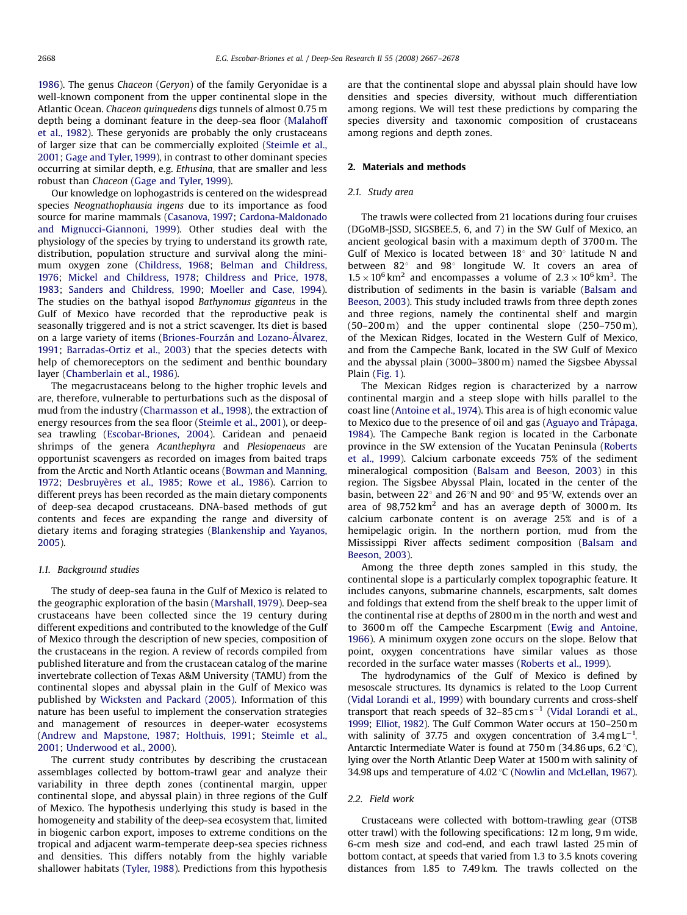[1986](#page-10-0)). The genus Chaceon (Geryon) of the family Geryonidae is a well-known component from the upper continental slope in the Atlantic Ocean. Chaceon quinquedens digs tunnels of almost 0.75 m depth being a dominant feature in the deep-sea floor ([Malahoff](#page-10-0) [et al., 1982\)](#page-10-0). These geryonids are probably the only crustaceans of larger size that can be commercially exploited ([Steimle et al.,](#page-11-0) [2001;](#page-11-0) [Gage and Tyler, 1999](#page-10-0)), in contrast to other dominant species occurring at similar depth, e.g. Ethusina, that are smaller and less robust than Chaceon ([Gage and Tyler, 1999](#page-10-0)).

Our knowledge on lophogastrids is centered on the widespread species Neognathophausia ingens due to its importance as food source for marine mammals [\(Casanova, 1997](#page-9-0); [Cardona-Maldonado](#page-9-0) [and Mignucci-Giannoni, 1999\)](#page-9-0). Other studies deal with the physiology of the species by trying to understand its growth rate, distribution, population structure and survival along the minimum oxygen zone [\(Childress, 1968;](#page-9-0) [Belman and Childress,](#page-9-0) [1976;](#page-9-0) [Mickel and Childress, 1978;](#page-10-0) [Childress and Price, 1978,](#page-9-0) [1983](#page-9-0); [Sanders and Childress, 1990](#page-10-0); [Moeller and Case, 1994\)](#page-10-0). The studies on the bathyal isopod Bathynomus giganteus in the Gulf of Mexico have recorded that the reproductive peak is seasonally triggered and is not a strict scavenger. Its diet is based on a large variety of items (Briones-Fourzán and Lozano-Álvarez, [1991](#page-9-0); [Barradas-Ortiz et al., 2003](#page-9-0)) that the species detects with help of chemoreceptors on the sediment and benthic boundary layer [\(Chamberlain et al., 1986\)](#page-9-0).

The megacrustaceans belong to the higher trophic levels and are, therefore, vulnerable to perturbations such as the disposal of mud from the industry ([Charmasson et al., 1998](#page-9-0)), the extraction of energy resources from the sea floor [\(Steimle et al., 2001\)](#page-11-0), or deepsea trawling ([Escobar-Briones, 2004\)](#page-10-0). Caridean and penaeid shrimps of the genera Acanthephyra and Plesiopenaeus are opportunist scavengers as recorded on images from baited traps from the Arctic and North Atlantic oceans ([Bowman and Manning,](#page-9-0) [1972](#page-9-0); Desbruyè[res et al., 1985;](#page-10-0) [Rowe et al., 1986\)](#page-10-0). Carrion to different preys has been recorded as the main dietary components of deep-sea decapod crustaceans. DNA-based methods of gut contents and feces are expanding the range and diversity of dietary items and foraging strategies [\(Blankenship and Yayanos,](#page-9-0) [2005](#page-9-0)).

#### 1.1. Background studies

The study of deep-sea fauna in the Gulf of Mexico is related to the geographic exploration of the basin [\(Marshall, 1979\)](#page-10-0). Deep-sea crustaceans have been collected since the 19 century during different expeditions and contributed to the knowledge of the Gulf of Mexico through the description of new species, composition of the crustaceans in the region. A review of records compiled from published literature and from the crustacean catalog of the marine invertebrate collection of Texas A&M University (TAMU) from the continental slopes and abyssal plain in the Gulf of Mexico was published by [Wicksten and Packard \(2005\)](#page-11-0). Information of this nature has been useful to implement the conservation strategies and management of resources in deeper-water ecosystems ([Andrew and Mapstone, 1987](#page-9-0); [Holthuis, 1991;](#page-10-0) [Steimle et al.,](#page-11-0) [2001;](#page-11-0) [Underwood et al., 2000](#page-11-0)).

The current study contributes by describing the crustacean assemblages collected by bottom-trawl gear and analyze their variability in three depth zones (continental margin, upper continental slope, and abyssal plain) in three regions of the Gulf of Mexico. The hypothesis underlying this study is based in the homogeneity and stability of the deep-sea ecosystem that, limited in biogenic carbon export, imposes to extreme conditions on the tropical and adjacent warm-temperate deep-sea species richness and densities. This differs notably from the highly variable shallower habitats [\(Tyler, 1988](#page-11-0)). Predictions from this hypothesis are that the continental slope and abyssal plain should have low densities and species diversity, without much differentiation among regions. We will test these predictions by comparing the species diversity and taxonomic composition of crustaceans among regions and depth zones.

#### 2. Materials and methods

#### 2.1. Study area

The trawls were collected from 21 locations during four cruises (DGoMB-JSSD, SIGSBEE.5, 6, and 7) in the SW Gulf of Mexico, an ancient geological basin with a maximum depth of 3700 m. The Gulf of Mexico is located between  $18^{\circ}$  and  $30^{\circ}$  latitude N and between  $82^{\circ}$  and  $98^{\circ}$  longitude W. It covers an area of  $1.5 \times 10^6$  km<sup>2</sup> and encompasses a volume of  $2.3 \times 10^6$  km<sup>3</sup>. The distribution of sediments in the basin is variable ([Balsam and](#page-9-0) [Beeson, 2003](#page-9-0)). This study included trawls from three depth zones and three regions, namely the continental shelf and margin  $(50-200 \text{ m})$  and the upper continental slope  $(250-750 \text{ m})$ , of the Mexican Ridges, located in the Western Gulf of Mexico, and from the Campeche Bank, located in the SW Gulf of Mexico and the abyssal plain (3000–3800 m) named the Sigsbee Abyssal Plain ([Fig. 1\)](#page-2-0).

The Mexican Ridges region is characterized by a narrow continental margin and a steep slope with hills parallel to the coast line ([Antoine et al., 1974](#page-9-0)). This area is of high economic value to Mexico due to the presence of oil and gas (Aguayo and Trápaga, [1984](#page-9-0)). The Campeche Bank region is located in the Carbonate province in the SW extension of the Yucatan Peninsula ([Roberts](#page-10-0) [et al., 1999](#page-10-0)). Calcium carbonate exceeds 75% of the sediment mineralogical composition ([Balsam and Beeson, 2003](#page-9-0)) in this region. The Sigsbee Abyssal Plain, located in the center of the basin, between 22 $^{\circ}$  and 26 $^{\circ}$ N and 90 $^{\circ}$  and 95 $^{\circ}$ W, extends over an area of  $98,752 \text{ km}^2$  and has an average depth of  $3000 \text{ m}$ . Its calcium carbonate content is on average 25% and is of a hemipelagic origin. In the northern portion, mud from the Mississippi River affects sediment composition ([Balsam and](#page-9-0) [Beeson, 2003\)](#page-9-0).

Among the three depth zones sampled in this study, the continental slope is a particularly complex topographic feature. It includes canyons, submarine channels, escarpments, salt domes and foldings that extend from the shelf break to the upper limit of the continental rise at depths of 2800 m in the north and west and to 3600 m off the Campeche Escarpment [\(Ewig and Antoine,](#page-10-0) [1966\)](#page-10-0). A minimum oxygen zone occurs on the slope. Below that point, oxygen concentrations have similar values as those recorded in the surface water masses ([Roberts et al., 1999](#page-10-0)).

The hydrodynamics of the Gulf of Mexico is defined by mesoscale structures. Its dynamics is related to the Loop Current ([Vidal Lorandi et al., 1999](#page-11-0)) with boundary currents and cross-shelf transport that reach speeds of  $32-85 \text{ cm s}^{-1}$  ([Vidal Lorandi et al.,](#page-11-0) [1999;](#page-11-0) [Elliot, 1982\)](#page-10-0). The Gulf Common Water occurs at 150–250m with salinity of 37.75 and oxygen concentration of  $3.4 \text{ mg L}^{-1}$ . Antarctic Intermediate Water is found at  $750 \text{ m}$  (34.86 ups, 6.2 °C), lying over the North Atlantic Deep Water at 1500m with salinity of 34.98 ups and temperature of  $4.02\textdegree C$  [\(Nowlin and McLellan, 1967\)](#page-10-0).

#### 2.2. Field work

Crustaceans were collected with bottom-trawling gear (OTSB otter trawl) with the following specifications: 12m long, 9m wide, 6-cm mesh size and cod-end, and each trawl lasted 25 min of bottom contact, at speeds that varied from 1.3 to 3.5 knots covering distances from 1.85 to 7.49 km. The trawls collected on the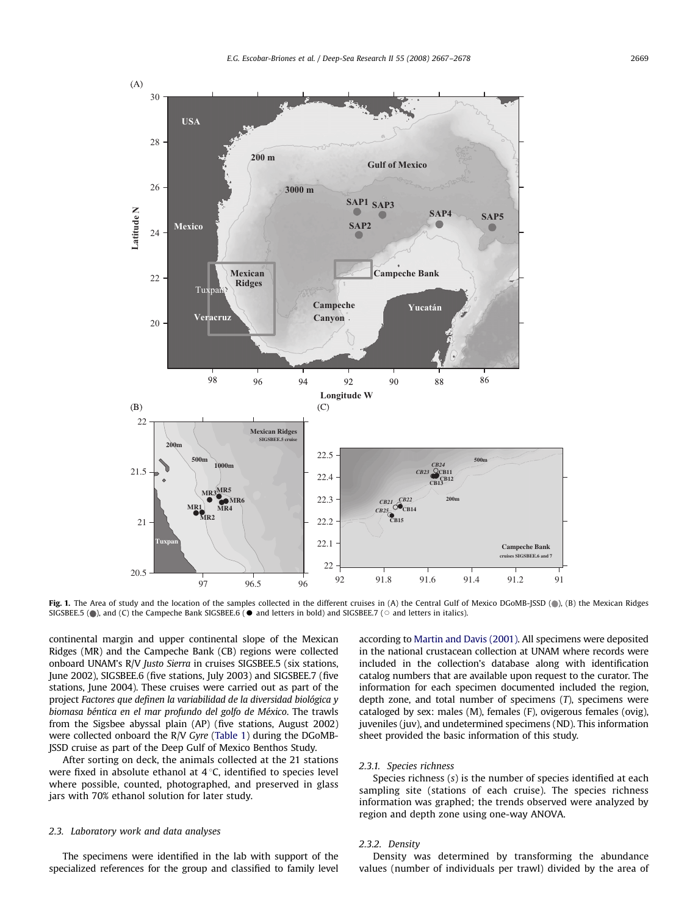<span id="page-2-0"></span>

Fig. 1. The Area of study and the location of the samples collected in the different cruises in (A) the Central Gulf of Mexico DGoMB-JSSD (.), (B) the Mexican Ridges SIGSBEE.5 ( $\bullet$ ), and (C) the Campeche Bank SIGSBEE.6 ( $\bullet$  and letters in bold) and SIGSBEE.7 ( $\circ$  and letters in italics).

continental margin and upper continental slope of the Mexican Ridges (MR) and the Campeche Bank (CB) regions were collected onboard UNAM's R/V Justo Sierra in cruises SIGSBEE.5 (six stations, June 2002), SIGSBEE.6 (five stations, July 2003) and SIGSBEE.7 (five stations, June 2004). These cruises were carried out as part of the project Factores que definen la variabilidad de la diversidad biológica y biomasa béntica en el mar profundo del golfo de México. The trawls from the Sigsbee abyssal plain (AP) (five stations, August 2002) were collected onboard the R/V Gyre [\(Table 1\)](#page-3-0) during the DGoMB-JSSD cruise as part of the Deep Gulf of Mexico Benthos Study.

After sorting on deck, the animals collected at the 21 stations were fixed in absolute ethanol at  $4^{\circ}$ C, identified to species level where possible, counted, photographed, and preserved in glass jars with 70% ethanol solution for later study.

#### 2.3. Laboratory work and data analyses

The specimens were identified in the lab with support of the specialized references for the group and classified to family level

according to [Martin and Davis \(2001\).](#page-10-0) All specimens were deposited in the national crustacean collection at UNAM where records were included in the collection's database along with identification catalog numbers that are available upon request to the curator. The information for each specimen documented included the region, depth zone, and total number of specimens  $(T)$ , specimens were cataloged by sex: males (M), females (F), ovigerous females (ovig), juveniles (juv), and undetermined specimens (ND). This information sheet provided the basic information of this study.

## 2.3.1. Species richness

Species richness (s) is the number of species identified at each sampling site (stations of each cruise). The species richness information was graphed; the trends observed were analyzed by region and depth zone using one-way ANOVA.

#### 2.3.2. Density

Density was determined by transforming the abundance values (number of individuals per trawl) divided by the area of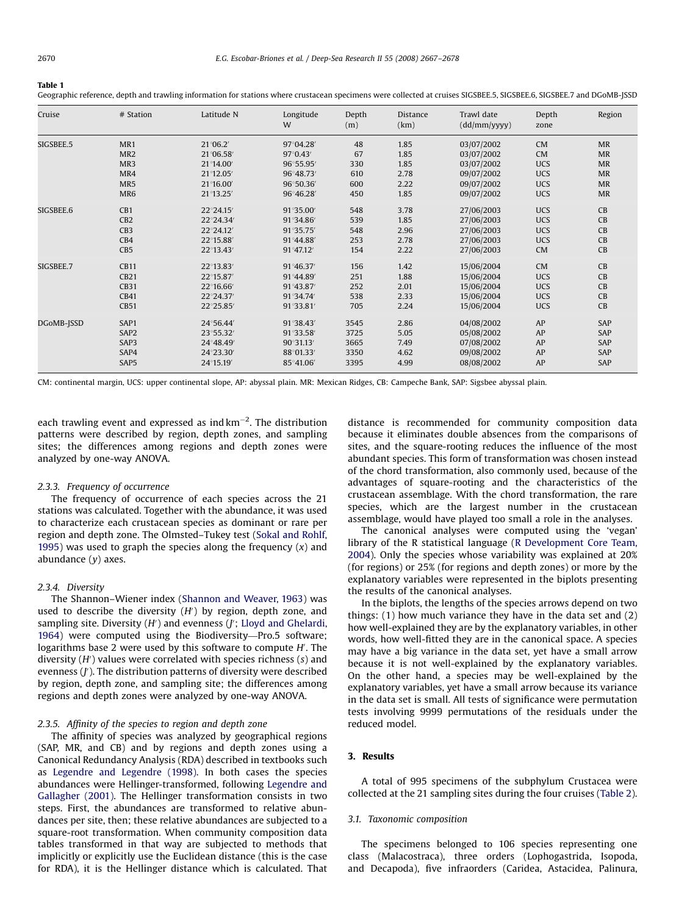<span id="page-3-0"></span>Table 1

Geographic reference, depth and trawling information for stations where crustacean specimens were collected at cruises SIGSBEE.5, SIGSBEE.6, SIGSBEE.7 and DGoMB-JSSD

| Cruise     | # Station        | Latitude N | Longitude<br>W     | Depth<br>(m) | Distance<br>(km) | Trawl date<br>(dd/mm/yyyy) | Depth<br>zone | Region    |
|------------|------------------|------------|--------------------|--------------|------------------|----------------------------|---------------|-----------|
| SIGSBEE.5  | MR1              | 21°06.2'   | 97°04.28'          | 48           | 1.85             | 03/07/2002                 | <b>CM</b>     | MR        |
|            | MR <sub>2</sub>  | 21°06.58′  | $97^{\circ}0.43'$  | 67           | 1.85             | 03/07/2002                 | <b>CM</b>     | <b>MR</b> |
|            | MR3              | 21°14.00   | 96°55.95'          | 330          | 1.85             | 03/07/2002                 | <b>UCS</b>    | <b>MR</b> |
|            | MR4              | 21°12.05'  | 96°48.73           | 610          | 2.78             | 09/07/2002                 | <b>UCS</b>    | MR        |
|            | MR5              | 21°16.00   | 96°50.36           | 600          | 2.22             | 09/07/2002                 | <b>UCS</b>    | MR        |
|            | MR <sub>6</sub>  | 21°13.25′  | 96°46.28           | 450          | 1.85             | 09/07/2002                 | <b>UCS</b>    | MR        |
| SIGSBEE.6  | CB1              | 22°24.15'  | $91^{\circ}35.00'$ | 548          | 3.78             | 27/06/2003                 | <b>UCS</b>    | CB        |
|            | CB2              | 22°24.34   | 91°34.86'          | 539          | 1.85             | 27/06/2003                 | <b>UCS</b>    | CB        |
|            | CB <sub>3</sub>  | 22°24.12'  | 91°35.75'          | 548          | 2.96             | 27/06/2003                 | <b>UCS</b>    | CB        |
|            | CB4              | 22°15.88'  | 91°44.88           | 253          | 2.78             | 27/06/2003                 | <b>UCS</b>    | CB        |
|            | CB5              | 22°13.43'  | 91°47.12           | 154          | 2.22             | 27/06/2003                 | <b>CM</b>     | CB        |
| SIGSBEE.7  | <b>CB11</b>      | 22°13.83'  | 91°46.37'          | 156          | 1.42             | 15/06/2004                 | CM            | CB        |
|            | CB21             | 22°15.87   | 91°44.89           | 251          | 1.88             | 15/06/2004                 | <b>UCS</b>    | CB        |
|            | <b>CB31</b>      | 22°16.66   | 91°43.87           | 252          | 2.01             | 15/06/2004                 | <b>UCS</b>    | CB        |
|            | CB41             | 22°24.37'  | 91°34.74           | 538          | 2.33             | 15/06/2004                 | <b>UCS</b>    | CB        |
|            | <b>CB51</b>      | 22°25.85'  | 91°33.81'          | 705          | 2.24             | 15/06/2004                 | <b>UCS</b>    | CB        |
| DGoMB-JSSD | SAP1             | 24°56.44   | 91°38.43'          | 3545         | 2.86             | 04/08/2002                 | AP            | SAP       |
|            | SAP <sub>2</sub> | 23°55.32′  | 91°33.58'          | 3725         | 5.05             | 05/08/2002                 | AP            | SAP       |
|            | SAP3             | 24°48.49   | 90°31.13'          | 3665         | 7.49             | 07/08/2002                 | AP            | SAP       |
|            | SAP4             | 24°23.30'  | 88°01.33'          | 3350         | 4.62             | 09/08/2002                 | AP            | SAP       |
|            | SAP5             | 24°15.19'  | 85°41.06           | 3395         | 4.99             | 08/08/2002                 | AP            | SAP       |

CM: continental margin, UCS: upper continental slope, AP: abyssal plain. MR: Mexican Ridges, CB: Campeche Bank, SAP: Sigsbee abyssal plain.

each trawling event and expressed as ind  $\text{km}^{-2}$ . The distribution patterns were described by region, depth zones, and sampling sites; the differences among regions and depth zones were analyzed by one-way ANOVA.

#### 2.3.3. Frequency of occurrence

The frequency of occurrence of each species across the 21 stations was calculated. Together with the abundance, it was used to characterize each crustacean species as dominant or rare per region and depth zone. The Olmsted–Tukey test [\(Sokal and Rohlf,](#page-11-0) [1995](#page-11-0)) was used to graph the species along the frequency  $(x)$  and abundance  $(y)$  axes.

#### 2.3.4. Diversity

The Shannon–Wiener index ([Shannon and Weaver, 1963\)](#page-10-0) was used to describe the diversity  $(H')$  by region, depth zone, and sampling site. Diversity  $(H')$  and evenness  $(f'$ ; [Lloyd and Ghelardi,](#page-10-0) [1964\)](#page-10-0) were computed using the Biodiversity—Pro.5 software; logarithms base 2 were used by this software to compute H'. The diversity  $(H')$  values were correlated with species richness  $(s)$  and evenness (J'). The distribution patterns of diversity were described by region, depth zone, and sampling site; the differences among regions and depth zones were analyzed by one-way ANOVA.

#### 2.3.5. Affinity of the species to region and depth zone

The affinity of species was analyzed by geographical regions (SAP, MR, and CB) and by regions and depth zones using a Canonical Redundancy Analysis (RDA) described in textbooks such as [Legendre and Legendre \(1998\)](#page-10-0). In both cases the species abundances were Hellinger-transformed, following [Legendre and](#page-10-0) [Gallagher \(2001\).](#page-10-0) The Hellinger transformation consists in two steps. First, the abundances are transformed to relative abundances per site, then; these relative abundances are subjected to a square-root transformation. When community composition data tables transformed in that way are subjected to methods that implicitly or explicitly use the Euclidean distance (this is the case for RDA), it is the Hellinger distance which is calculated. That distance is recommended for community composition data because it eliminates double absences from the comparisons of sites, and the square-rooting reduces the influence of the most abundant species. This form of transformation was chosen instead of the chord transformation, also commonly used, because of the advantages of square-rooting and the characteristics of the crustacean assemblage. With the chord transformation, the rare species, which are the largest number in the crustacean assemblage, would have played too small a role in the analyses.

The canonical analyses were computed using the 'vegan' library of the R statistical language ([R Development Core Team,](#page-10-0) [2004](#page-10-0)). Only the species whose variability was explained at 20% (for regions) or 25% (for regions and depth zones) or more by the explanatory variables were represented in the biplots presenting the results of the canonical analyses.

In the biplots, the lengths of the species arrows depend on two things: (1) how much variance they have in the data set and (2) how well-explained they are by the explanatory variables, in other words, how well-fitted they are in the canonical space. A species may have a big variance in the data set, yet have a small arrow because it is not well-explained by the explanatory variables. On the other hand, a species may be well-explained by the explanatory variables, yet have a small arrow because its variance in the data set is small. All tests of significance were permutation tests involving 9999 permutations of the residuals under the reduced model.

### 3. Results

A total of 995 specimens of the subphylum Crustacea were collected at the 21 sampling sites during the four cruises ([Table 2\)](#page-4-0).

#### 3.1. Taxonomic composition

The specimens belonged to 106 species representing one class (Malacostraca), three orders (Lophogastrida, Isopoda, and Decapoda), five infraorders (Caridea, Astacidea, Palinura,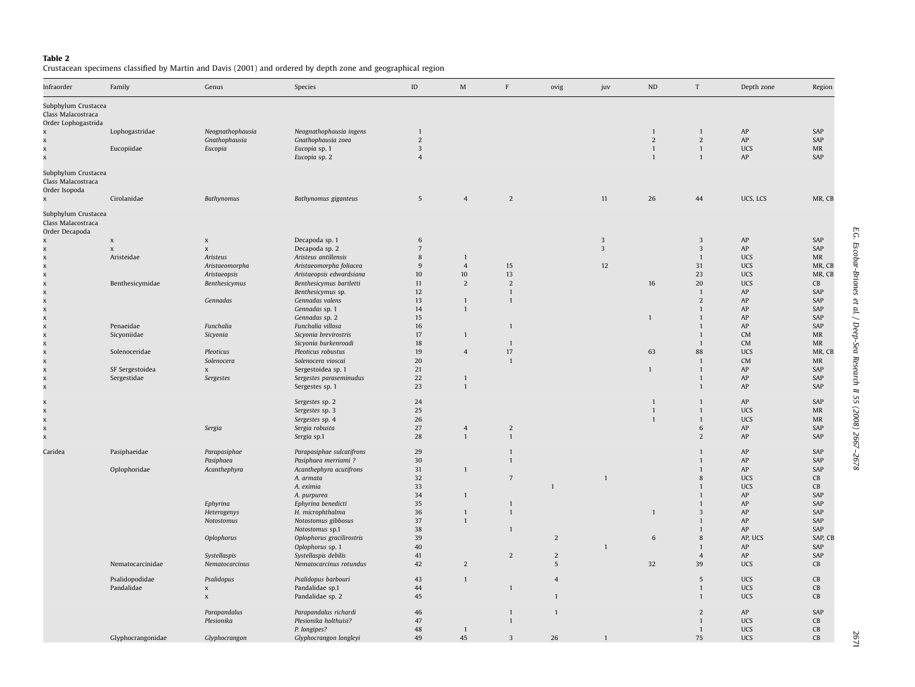<span id="page-4-0"></span>**Table 2**<br>Crustacean specimens classified by Martin and Davis [\(2001\)](#page-10-0) and ordered by depth zone and geographical region

| Infraorder                                                       | Family            | Genus                     | Species                   | $\mathsf{ID}$   | $\mathbf M$    | F               | ovig           | juv                     | ND             | $\ensuremath{\mathrm{T}}$ | Depth zone | Region                            |
|------------------------------------------------------------------|-------------------|---------------------------|---------------------------|-----------------|----------------|-----------------|----------------|-------------------------|----------------|---------------------------|------------|-----------------------------------|
| Subphylum Crustacea<br>Class Malacostraca<br>Order Lophogastrida |                   |                           |                           |                 |                |                 |                |                         |                |                           |            |                                   |
| $\mathbf{x}$                                                     | Lophogastridae    | Neognathophausia          | Neognathophausia ingens   | $\mathbf{1}$    |                |                 |                |                         | $\overline{1}$ | $\mathbf{1}$              | ${\sf AP}$ | SAP                               |
|                                                                  |                   | Gnathophausia             | Gnathophausia zoea        | $\overline{2}$  |                |                 |                |                         | $\overline{2}$ | $\overline{2}$            | AP         | SAP                               |
| $\mathbf{x}$                                                     | Eucopiidae        | Eucopia                   | Eucopia sp. 1             | $\overline{3}$  |                |                 |                |                         | $\mathbf{1}$   | $\mathbf{1}$              | <b>UCS</b> | $\ensuremath{\mathsf{MR}}\xspace$ |
| $\mathbf{x}$                                                     |                   |                           | Eucopia sp. 2             | $\overline{4}$  |                |                 |                |                         | $\overline{1}$ | $\mathbf{1}$              | AP         | SAP                               |
| Subphylum Crustacea<br>Class Malacostraca<br>Order Isopoda       |                   |                           |                           |                 |                |                 |                |                         |                |                           |            |                                   |
| x                                                                | Cirolanidae       | Bathynomus                | Bathynomus giganteus      | 5               | $\overline{4}$ | $\overline{2}$  |                | 11                      | 26             | 44                        | UCS, LCS   | MR, CB                            |
| Subphylum Crustacea<br>Class Malacostraca<br>Order Decapoda      |                   |                           |                           |                 |                |                 |                |                         |                |                           |            |                                   |
| x                                                                | $\mathbf x$       | $\mathbf x$               | Decapoda sp. 1            | 6               |                |                 |                | 3                       |                | 3                         | AP         | SAP                               |
| X                                                                | $\mathbf x$       | $\mathbf x$               | Decapoda sp. 2            | $7\phantom{.0}$ |                |                 |                | $\overline{\mathbf{3}}$ |                | $\overline{\mathbf{3}}$   | ${\sf AP}$ | SAP                               |
| $\mathbf{x}$                                                     | Aristeidae        | Aristeus                  | Aristeus antillensis      | 8               | $\mathbf{1}$   |                 |                |                         |                | $\mathbf{1}$              | <b>UCS</b> | MR                                |
| $\mathbf{x}$                                                     |                   | Aristaeomorpha            | Aristaeomorpha foliacea   | 9               | $\overline{4}$ | 15              |                | 12                      |                | 31                        | <b>UCS</b> | MR, CB                            |
|                                                                  |                   | Aristaeopsis              | Aristaeopsis edwardsiana  | 10              | $10\,$         | $13\,$          |                |                         |                | 23                        | <b>UCS</b> | MR, CB                            |
|                                                                  | Benthesicymidae   | Benthesicymus             | Benthesicymus bartletti   | 11              | $\overline{2}$ | $\overline{2}$  |                |                         | 16             | 20                        | <b>UCS</b> | CB                                |
|                                                                  |                   |                           | Benthesicymus sp.         | 12              |                | $\mathbf{1}$    |                |                         |                | $\overline{1}$            | ${\sf AP}$ | SAP                               |
|                                                                  |                   | Gennadas                  | Gennadas valens           | 13              | $\mathbf{1}$   | $\mathbf{1}$    |                |                         |                | $\overline{2}$            | AP         | SAP                               |
|                                                                  |                   |                           | Gennadas sp. 1            | 14              | $\mathbf{1}$   |                 |                |                         |                | $\mathbf{1}$              | ${\sf AP}$ | SAP                               |
|                                                                  |                   |                           | Gennadas sp. 2            | 15              |                |                 |                |                         | $\mathbf{1}$   | $\mathbf{1}$              | AP         | SAP                               |
|                                                                  | Penaeidae         | Funchalia                 | Funchalia villosa         | 16              |                | $\mathbf{1}$    |                |                         |                | $\mathbf{1}$              | AP         | SAP                               |
|                                                                  | Sicyoniidae       | Sicyonia                  | Sicyonia brevirostris     | 17              | $\mathbf{1}$   |                 |                |                         |                | $\mathbf{1}$              | CM         | MR                                |
|                                                                  |                   |                           | Sicyonia burkenroadi      | 18              |                | $\mathbf{1}$    |                |                         |                | $\mathbf{1}$              | CM         | $\ensuremath{\mathsf{MR}}\xspace$ |
| x x x x x x x x x x x x                                          | Solenoceridae     | Pleoticus                 | Pleoticus robustus        | 19              | $\overline{4}$ | 17              |                |                         | 63             | 88                        | <b>UCS</b> | MR, CB                            |
|                                                                  |                   | Solenocera                | Solenocera vioscai        | 20              |                | $\mathbf{1}$    |                |                         |                | $\mathbf{1}$              | CM         | MR                                |
| $\mathbf x$                                                      | SF Sergestoidea   | X                         | Sergestoidea sp. 1        | $21\,$          |                |                 |                |                         | $\mathbf{1}$   | $\overline{1}$            | ${\sf AP}$ | SAP                               |
|                                                                  | Sergestidae       | Sergestes                 | Sergestes paraseminudus   | 22              | $\mathbf{1}$   |                 |                |                         |                | $\mathbf{1}$              | AP         | SAP                               |
| x<br>x                                                           |                   |                           | Sergestes sp. 1           | 23              | 1              |                 |                |                         |                | $\mathbf{1}$              | ${\sf AP}$ | SAP                               |
| $\mathbf{x}$                                                     |                   |                           | Sergestes sp. 2           | 24              |                |                 |                |                         |                | $\mathbf{1}$              | AP         | SAP                               |
| $\mathbf{x}$                                                     |                   |                           | Sergestes sp. 3           | 25              |                |                 |                |                         |                | $\mathbf{1}$              | <b>UCS</b> | $\ensuremath{\mathsf{MR}}\xspace$ |
| $\mathbf{x}$                                                     |                   |                           | Sergestes sp. 4           | 26              |                |                 |                |                         | $\mathbf{1}$   | $\mathbf{1}$              | <b>UCS</b> | MR                                |
| $\mathbf x$                                                      |                   | Sergia                    | Sergia robusta            | $27\,$          | $\sqrt{4}$     | $\overline{2}$  |                |                         |                | $\,6\,$                   | ${\sf AP}$ | SAP                               |
| $\mathbf{x}$                                                     |                   |                           | Sergia sp.1               | 28              | $\mathbf{1}$   |                 |                |                         |                | $\overline{2}$            | AP         | SAP                               |
|                                                                  |                   |                           |                           |                 |                |                 |                |                         |                |                           |            |                                   |
| Caridea                                                          | Pasiphaeidae      | Parapasiphae              | Parapasiphae sulcatifrons | 29              |                | $\mathbf{1}$    |                |                         |                | $\mathbf{1}$              | ${\sf AP}$ | SAP                               |
|                                                                  |                   | Pasiphaea                 | Pasiphaea merriami ?      | 30              |                | $\mathbf{1}$    |                |                         |                | $\mathbf{1}$              | AP         | SAP                               |
|                                                                  | Oplophoridae      | Acanthephyra              | Acanthephyra acutifrons   | 31              | $\mathbf{1}$   |                 |                |                         |                | $\mathbf{1}$              | AP         | SAP                               |
|                                                                  |                   |                           | A. armata                 | 32              |                | $7\overline{ }$ |                | $\mathbf{1}$            |                | 8                         | <b>UCS</b> | CB                                |
|                                                                  |                   |                           | A. eximia                 | 33              |                |                 | $\mathbf{1}$   |                         |                | $\mathbf{1}$              | <b>UCS</b> | CB                                |
|                                                                  |                   |                           | A. purpurea               | 34              | $\mathbf{1}$   |                 |                |                         |                | $\mathbf{1}$              | AP         | SAP                               |
|                                                                  |                   | Ephyrina                  | Ephyrina benedicti        | 35              |                | $\mathbf{1}$    |                |                         |                | $\mathbf{1}$              | AP         | SAP                               |
|                                                                  |                   | Heterogenys               | H. microphthalma          | 36              | $\mathbf{1}$   | $\mathbf{1}$    |                |                         | $\mathbf{1}$   | $\mathsf 3$               | ${\sf AP}$ | SAP                               |
|                                                                  |                   | Notostomus                | Notostomus gibbosus       | 37              | $\mathbf{1}$   |                 |                |                         |                | $\mathbf{1}$              | AP         | SAP                               |
|                                                                  |                   |                           | Notostomus sp.1           | 38              |                | $\mathbf{1}$    |                |                         |                | $\mathbf{1}$              | ${\sf AP}$ | SAP                               |
|                                                                  |                   | Oplophorus                | Oplophorus gracilirostris | 39              |                |                 | $\overline{2}$ |                         | 6              | $\,$ 8 $\,$               | AP, UCS    | SAP, CB                           |
|                                                                  |                   |                           | Oplophorus sp. 1          | 40              |                |                 |                | $\mathbf{1}$            |                | $\mathbf{1}$              | AP         | SAP                               |
|                                                                  |                   | Systellaspis              | Systellaspis debilis      | 41              |                | 2               | $\overline{2}$ |                         |                | $\sqrt{4}$                | ${\sf AP}$ | SAP                               |
|                                                                  | Nematocarcinidae  | Nematocarcinus            | Nematocarcinus rotundus   | 42              | $\overline{2}$ |                 | 5              |                         | 32             | 39                        | <b>UCS</b> | CB                                |
|                                                                  | Psalidopodidae    | Psalidopus                | Psalidopus barbouri       | 43              | $\mathbf{1}$   |                 | $\overline{4}$ |                         |                | 5                         | <b>UCS</b> | CB                                |
|                                                                  | Pandalidae        | $\boldsymbol{\mathsf{X}}$ | Pandalidae sp.1           | $\bf 44$        |                | $\mathbf{1}$    |                |                         |                | $\mathbf{1}$              | <b>UCS</b> | $\mathsf{CB}$                     |
|                                                                  |                   | $\mathbf x$               | Pandalidae sp. 2          | 45              |                |                 | $\mathbf{1}$   |                         |                | $\overline{1}$            | <b>UCS</b> | $\mathsf{CB}$                     |
|                                                                  |                   |                           |                           |                 |                |                 |                |                         |                |                           |            |                                   |
|                                                                  |                   | Parapandalus              | Parapandalus richardi     | 46              |                | $\mathbf{1}$    | $\mathbf{1}$   |                         |                | $\sqrt{2}$                | ${\sf AP}$ | SAP                               |
|                                                                  |                   | Plesionika                | Plesionika holthuisi?     | 47              |                | $\mathbf{1}$    |                |                         |                | $\mathbf{1}$              | <b>UCS</b> | CB                                |
|                                                                  |                   |                           | P. longipes?              | 48              | $\mathbf{1}$   |                 |                |                         |                | $\overline{1}$            | <b>UCS</b> | CB                                |
|                                                                  | Glyphocrangonidae | Glyphocrangon             | Glyphocrangon longlevi    | 49              | 45             | 3               | 26             | -1                      |                | 75                        | <b>UCS</b> | CB                                |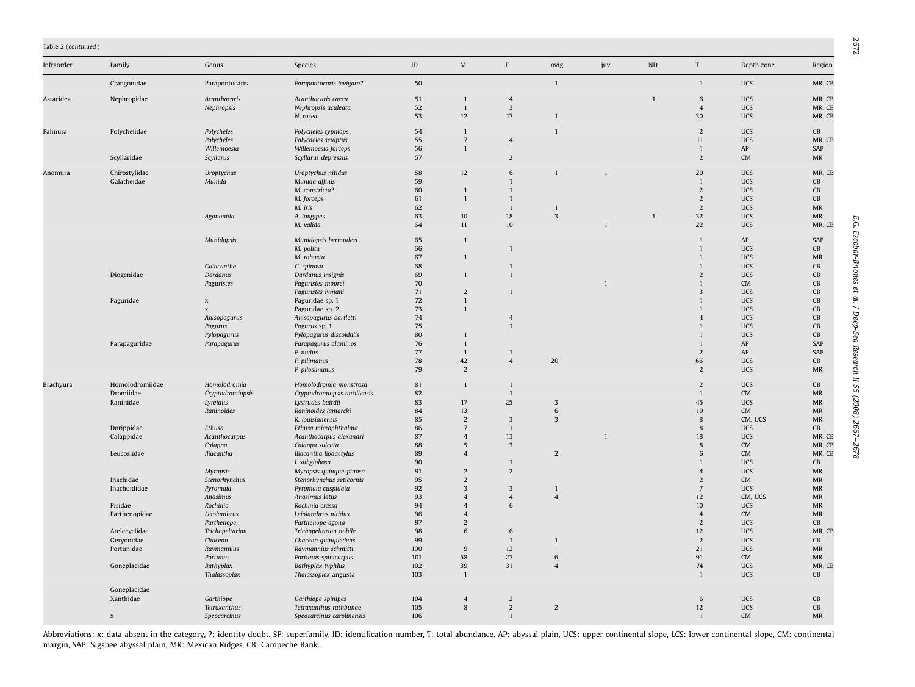#### Table 2 (continued )

| Infraorder | Family          | Genus                            | Species                                                | $\mathsf{ID}$ | $\mathbf M$                    | $\, {\rm F}$                     | ovig                    | juv | ND           | $\ensuremath{\mathrm{T}}$        | Depth zone               | Region                                                                 |
|------------|-----------------|----------------------------------|--------------------------------------------------------|---------------|--------------------------------|----------------------------------|-------------------------|-----|--------------|----------------------------------|--------------------------|------------------------------------------------------------------------|
|            | Crangonidae     | Parapontocaris                   | Parapontocaris levigata?                               | 50            |                                |                                  | $\mathbf{1}$            |     |              | $\mathbf{1}$                     | <b>UCS</b>               | MR, CB                                                                 |
| Astacidea  | Nephropidae     | Acanthacaris                     | Acanthacaris caeca                                     | 51            | $\overline{1}$                 | $\overline{4}$                   |                         |     | $\mathbf{1}$ | 6                                | <b>UCS</b>               | MR, CB                                                                 |
|            |                 | Nephropsis                       | Nephropsis aculeata                                    | 52            | $\mathbf{1}$                   | $\overline{3}$                   |                         |     |              | $\overline{4}$                   | <b>UCS</b>               | MR, CB                                                                 |
|            |                 |                                  | N. rosea                                               | 53            | $12 \,$                        | 17                               | $\mathbf{1}$            |     |              | 30                               | <b>UCS</b>               | MR, CB                                                                 |
| Palinura   | Polychelidae    | Polycheles                       | Polycheles typhlops                                    | 54            | $\overline{1}$                 |                                  |                         |     |              | $\overline{2}$                   | <b>UCS</b>               | $\mathsf{CB}$                                                          |
|            |                 | Polycheles                       | Polycheles sculptus                                    | 55            | $\overline{7}$                 | $\overline{4}$                   |                         |     |              | 11                               | <b>UCS</b>               | MR, CB                                                                 |
|            |                 | Willemoesia                      | Willemoesia forceps                                    | 56            | $\overline{1}$                 |                                  |                         |     |              | $\overline{1}$                   | AP                       | SAP                                                                    |
|            | Scyllaridae     | Scyllarus                        | Scyllarus depressus                                    | 57            |                                | $\overline{2}$                   |                         |     |              | $\overline{2}$                   | <b>CM</b>                | $\ensuremath{\mathsf{MR}}\xspace$                                      |
| Anomura    | Chirostylidae   | Uroptychus                       | Uroptychus nitidus                                     | 58            | 12                             | 6                                | $\mathbf{1}$            |     |              | 20                               | <b>UCS</b>               | MR, CB                                                                 |
|            | Galatheidae     | Munida                           | Munida affinis                                         | 59            |                                | $\mathbf{1}$                     |                         |     |              | $\overline{1}$                   | <b>UCS</b>               | CB                                                                     |
|            |                 |                                  | M. constricta?                                         | 60            | $\overline{1}$                 | $\mathbf{1}$                     |                         |     |              | $\overline{2}$                   | <b>UCS</b>               | CB                                                                     |
|            |                 |                                  | M. forceps                                             | 61            | $\overline{1}$                 | $\mathbf{1}$                     |                         |     |              | $\overline{2}$                   | <b>UCS</b>               | CB                                                                     |
|            |                 |                                  | M. iris                                                | 62            |                                | $\mathbf{1}$                     | 1                       |     |              | $\overline{2}$                   | UCS                      | $\ensuremath{\mathsf{MR}}\xspace$                                      |
|            |                 | Agononida                        | A. longipes<br>M. valida                               | 63<br>64      | $10\,$<br>11                   | 18<br>10                         | $\overline{3}$          |     |              | 32<br>22                         | <b>UCS</b><br><b>UCS</b> | $\ensuremath{\mathsf{MR}}\xspace$<br>MR, CB                            |
|            |                 |                                  |                                                        |               |                                |                                  |                         |     |              |                                  |                          |                                                                        |
|            |                 | Munidopsis                       | Munidopsis bermudezi                                   | 65            | $\overline{1}$                 |                                  |                         |     |              | $\overline{1}$                   | ${\sf AP}$               | SAP                                                                    |
|            |                 |                                  | M. polita                                              | 66            |                                | $\mathbf{1}$                     |                         |     |              | $\mathbf{1}$                     | <b>UCS</b>               | CB                                                                     |
|            |                 | Galacantha                       | M. robusta                                             | 67<br>68      | $\overline{1}$                 | $\mathbf{1}$                     |                         |     |              | $\mathbf{1}$<br>$\overline{1}$   | <b>UCS</b><br><b>UCS</b> | $\ensuremath{\mathsf{MR}}\xspace$<br>CB                                |
|            | Diogenidae      | Dardanus                         | G. spinosa<br>Dardanus insignis                        | 69            | $\overline{1}$                 | $\mathbf{1}$                     |                         |     |              | $\overline{2}$                   | <b>UCS</b>               | CB                                                                     |
|            |                 | Paguristes                       | Paguristes moorei                                      | 70            |                                |                                  |                         |     |              | $\mathbf{1}$                     | CM                       | CB                                                                     |
|            |                 |                                  | Paguristes lymani                                      | 71            | $\overline{2}$                 | $\mathbf{1}$                     |                         |     |              | $\overline{3}$                   | <b>UCS</b>               | CB                                                                     |
|            | Paguridae       | $\boldsymbol{\mathsf{x}}$        | Paguridae sp. 1                                        | 72            | $\overline{1}$                 |                                  |                         |     |              | $\mathbf{1}$                     | <b>UCS</b>               | CB                                                                     |
|            |                 | $\mathbf x$                      | Paguridae sp. 2                                        | 73            | $\mathbf{1}$                   |                                  |                         |     |              | $\mathbf{1}$                     | UCS                      | CB                                                                     |
|            |                 | Anisopagurus                     | Anisopagurus bartletti                                 | 74            |                                | $\overline{4}$                   |                         |     |              | $\overline{4}$                   | UCS                      | CB                                                                     |
|            |                 | Pagurus                          | Pagurus sp. 1                                          | 75            |                                | $\mathbf{1}$                     |                         |     |              | $\mathbf{1}$                     | UCS                      | CB                                                                     |
|            |                 | Pylopagurus                      | Pylopagurus discoidalis                                | 80            | $\mathbf{1}$                   |                                  |                         |     |              | $\overline{1}$                   | UCS                      | CB                                                                     |
|            | Parapaguridae   | Parapagurus                      | Parapagurus alaminos<br>P. nudus                       | 76<br>77      | $\mathbf{1}$<br>$\overline{1}$ | $\mathbf{1}$                     |                         |     |              | $\overline{1}$<br>$\overline{2}$ | AP<br>AP                 | SAP<br>SAP                                                             |
|            |                 |                                  | P. pilimanus                                           | 78            | 42                             | $\overline{4}$                   | 20                      |     |              | 66                               | <b>UCS</b>               | CB                                                                     |
|            |                 |                                  | P. pilosimanus                                         | 79            | $\overline{2}$                 |                                  |                         |     |              | $\overline{2}$                   | <b>UCS</b>               | $\ensuremath{\mathsf{MR}}\xspace$                                      |
|            | Homolodromiidae |                                  |                                                        | 81            | $\overline{1}$                 | $\mathbf{1}$                     |                         |     |              | $\overline{2}$                   | <b>UCS</b>               |                                                                        |
| Brachyura  | Dromiidae       | Homolodromia<br>Cryptodromiopsis | Homolodromia monstrosa<br>Cryptodromiopsis antillensis | 82            |                                | $\mathbf{1}$                     |                         |     |              | $\overline{1}$                   | CM                       | CB<br><b>MR</b>                                                        |
|            | Raninidae       | Lyreidus                         | Lysirudes bairdii                                      | 83            | 17                             | 25                               | $\overline{\mathbf{3}}$ |     |              | 45                               | <b>UCS</b>               | $\ensuremath{\mathsf{MR}}\xspace$                                      |
|            |                 | Raninoides                       | Raninoides lamarcki                                    | 84            | 13                             |                                  | 6                       |     |              | 19                               | CM                       | <b>MR</b>                                                              |
|            |                 |                                  | R. louisianensis                                       | 85            | $\overline{2}$                 | 3                                | $\overline{\mathbf{3}}$ |     |              | 8                                | CM, UCS                  | $\ensuremath{\mathsf{MR}}\xspace$                                      |
|            | Dorippidae      | Ethusa                           | Ethusa microphthalma                                   | 86            | $7\overline{ }$                | $\mathbf{1}$                     |                         |     |              | 8                                | <b>UCS</b>               | CB                                                                     |
|            | Calappidae      | Acanthocarpus                    | Acanthocarpus alexandri                                | 87            | $\overline{4}$                 | 13                               |                         |     |              | 18                               | <b>UCS</b>               | MR, CB                                                                 |
|            |                 | Calappa                          | Calappa sulcata                                        | 88            | 5                              | 3                                |                         |     |              | $\mathbf{8}$                     | <b>CM</b>                | MR, CB                                                                 |
|            | Leucosiidae     | Iliacantha                       | Iliacantha liodactylus                                 | 89            | $\overline{4}$                 |                                  | $\overline{2}$          |     |              | 6                                | <b>CM</b>                | MR, CB                                                                 |
|            |                 | <b>Myropsis</b>                  | I. subglobosa<br>Myropsis quinquespinosa               | 90<br>91      | 2                              | $\mathbf{1}$<br>$\overline{2}$   |                         |     |              | $\overline{1}$<br>$\overline{4}$ | <b>UCS</b><br><b>UCS</b> | CB<br>$\ensuremath{\mathsf{MR}}\xspace$                                |
|            | Inachidae       | Stenorhynchus                    | Stenorhynchus seticornis                               | 95            | $\overline{2}$                 |                                  |                         |     |              | $\overline{2}$                   | <b>CM</b>                | $\ensuremath{\mathsf{MR}}\xspace$                                      |
|            | Inachoididae    | Pyromaia                         | Pyromaia cuspidata                                     | 92            | $\overline{\mathbf{3}}$        | 3                                | $\mathbf{1}$            |     |              | $\overline{7}$                   | UCS                      | $\ensuremath{\mathsf{MR}}\xspace$                                      |
|            |                 | Anasimus                         | Anasimus latus                                         | 93            | $\overline{4}$                 | $\overline{4}$                   | $\overline{4}$          |     |              | 12                               | CM, UCS                  | <b>MR</b>                                                              |
|            | Pisidae         | Rochinia                         | Rochinia crassa                                        | 94            | $\overline{4}$                 | 6                                |                         |     |              | 10                               | <b>UCS</b>               | $\ensuremath{\mathsf{MR}}\xspace$                                      |
|            | Parthenopidae   | Leiolambrus                      | Leiolambrus nitidus                                    | 96            | $\overline{4}$                 |                                  |                         |     |              | $\overline{4}$                   | <b>CM</b>                | <b>MR</b>                                                              |
|            |                 | Parthenope                       | Parthenope agona                                       | 97            | $\overline{2}$                 |                                  |                         |     |              | 2                                | <b>UCS</b>               | CB                                                                     |
|            | Atelecyclidae   | Trichopeltarion                  | Trichopeltarion nobile                                 | 98            | 6                              | 6                                |                         |     |              | 12                               | <b>UCS</b>               | MR, CB                                                                 |
|            | Geryonidae      | Chaceon                          | Chaceon quinquedens                                    | 99            |                                | $\mathbf{1}$                     | $\mathbf{1}$            |     |              | $\overline{c}$                   | UCS                      | $\mathsf{CB}$                                                          |
|            | Portunidae      | Raymannius<br>Portunus           | Raymannius schmitti<br>Portunus spinicarpus            | 100<br>101    | $9\,$<br>58                    | 12<br>27                         | 6                       |     |              | 21<br>91                         | <b>UCS</b><br><b>CM</b>  | $\ensuremath{\mathsf{MR}}\xspace$<br>$\ensuremath{\mathsf{MR}}\xspace$ |
|            | Goneplacidae    | Bathyplax                        | Bathyplax typhlus                                      | 102           | 39                             | 31                               | $\overline{4}$          |     |              | 74                               | <b>UCS</b>               | MR, CB                                                                 |
|            |                 | Thalassoplax                     | Thalassoplax angusta                                   | 103           | $\overline{1}$                 |                                  |                         |     |              | $\overline{1}$                   | <b>UCS</b>               | CB                                                                     |
|            |                 |                                  |                                                        |               |                                |                                  |                         |     |              |                                  |                          |                                                                        |
|            | Goneplacidae    |                                  |                                                        |               |                                |                                  |                         |     |              |                                  |                          |                                                                        |
|            | Xanthidae       | Garthiope<br>Tetraxanthus        | Garthiope spinipes<br>Tetraxanthus rathbunae           | 104<br>105    | $\sqrt{4}$<br>8                | $\overline{a}$<br>$\overline{2}$ | $\overline{2}$          |     |              | $\,$ 6<br>$12 \overline{ }$      | UCS<br><b>UCS</b>        | $\mathsf{CB}$<br>CB                                                    |
|            | $\mathbf x$     | Speocarcinus                     | Speocarcinus carolinensis                              | 106           |                                | $\mathbf{1}$                     |                         |     |              | $\overline{1}$                   | <b>CM</b>                | $\ensuremath{\mathsf{MR}}\xspace$                                      |
|            |                 |                                  |                                                        |               |                                |                                  |                         |     |              |                                  |                          |                                                                        |

Abbreviations: x: data absent in the category, ?: identity doubt. SF: superfamily, ID: identification number, T: total abundance. AP: abyssal plain, UCS: upper continental slope, LCS: lower continental slope, CM: continent margin, SAP: Sigsbee abyssal plain, MR: Mexican Ridges, CB: Campeche Bank.

E.G. Escobar-Briones et al. / Deep-Sea Research II 55 (2008) 2667–2678 2672E.G. Escobar-Briones et al. / Deep-Sea Research II 55 (2008) 2667-2678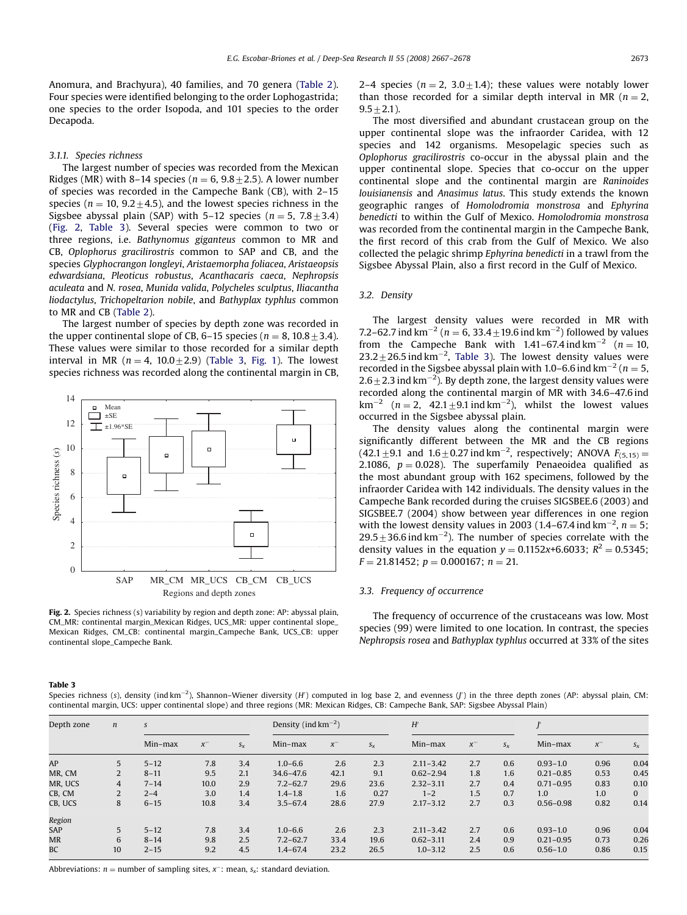<span id="page-6-0"></span>Anomura, and Brachyura), 40 families, and 70 genera [\(Table 2\)](#page-4-0). Four species were identified belonging to the order Lophogastrida; one species to the order Isopoda, and 101 species to the order Decapoda.

#### 3.1.1. Species richness

The largest number of species was recorded from the Mexican Ridges (MR) with 8–14 species ( $n = 6, 9.8 \pm 2.5$ ). A lower number of species was recorded in the Campeche Bank (CB), with 2–15 species ( $n = 10$ ,  $9.2 \pm 4.5$ ), and the lowest species richness in the Sigsbee abyssal plain (SAP) with 5–12 species ( $n = 5$ ,  $7.8 \pm 3.4$ ) (Fig. 2, Table 3). Several species were common to two or three regions, i.e. Bathynomus giganteus common to MR and CB, Oplophorus gracilirostris common to SAP and CB, and the species Glyphocrangon longleyi, Aristaemorpha foliacea, Aristaeopsis edwardsiana, Pleoticus robustus, Acanthacaris caeca, Nephropsis aculeata and N. rosea, Munida valida, Polycheles sculptus, Iliacantha liodactylus, Trichopeltarion nobile, and Bathyplax typhlus common to MR and CB [\(Table 2](#page-4-0)).

The largest number of species by depth zone was recorded in the upper continental slope of CB, 6–15 species ( $n = 8$ , 10.8  $\pm$  3.4). These values were similar to those recorded for a similar depth interval in MR ( $n = 4$ , 10.0+2.9) (Table 3, [Fig. 1](#page-2-0)). The lowest species richness was recorded along the continental margin in CB,



Fig. 2. Species richness (s) variability by region and depth zone: AP: abyssal plain, CM\_MR: continental margin\_Mexican Ridges, UCS\_MR: upper continental slope\_ Mexican Ridges, CM\_CB: continental margin\_Campeche Bank, UCS\_CB: upper continental slope\_Campeche Bank.

2–4 species ( $n = 2$ ,  $3.0 \pm 1.4$ ); these values were notably lower than those recorded for a similar depth interval in MR ( $n = 2$ ,  $9.5+2.1$ ).

The most diversified and abundant crustacean group on the upper continental slope was the infraorder Caridea, with 12 species and 142 organisms. Mesopelagic species such as Oplophorus gracilirostris co-occur in the abyssal plain and the upper continental slope. Species that co-occur on the upper continental slope and the continental margin are Raninoides louisianensis and Anasimus latus. This study extends the known geographic ranges of Homolodromia monstrosa and Ephyrina benedicti to within the Gulf of Mexico. Homolodromia monstrosa was recorded from the continental margin in the Campeche Bank, the first record of this crab from the Gulf of Mexico. We also collected the pelagic shrimp Ephyrina benedicti in a trawl from the Sigsbee Abyssal Plain, also a first record in the Gulf of Mexico.

#### 3.2. Density

The largest density values were recorded in MR with 7.2–62.7 ind  $km^{-2}$  ( $n = 6$ , 33.4  $\pm$ 19.6 ind  $km^{-2}$ ) followed by values from the Campeche Bank with 1.41–67.4 ind km<sup>-2</sup> ( $n = 10$ ,  $23.2 \pm 26.5$  ind km<sup>-2</sup>, Table 3). The lowest density values were recorded in the Sigsbee abyssal plain with 1.0–6.6 ind  $km^{-2}$  (n = 5, 2.6 $\pm$  2.3 ind km<sup>-2</sup>). By depth zone, the largest density values were recorded along the continental margin of MR with 34.6–47.6 ind  $km^{-2}$  ( $n = 2$ , 42.1  $\pm$ 9.1 ind km<sup>-2</sup>), whilst the lowest values occurred in the Sigsbee abyssal plain.

The density values along the continental margin were significantly different between the MR and the CB regions  $(42.1 \pm 9.1$  and  $1.6 \pm 0.27$  ind km<sup>-2</sup>, respectively; ANOVA  $F_{(5,15)} =$ 2.1086,  $p = 0.028$ ). The superfamily Penaeoidea qualified as the most abundant group with 162 specimens, followed by the infraorder Caridea with 142 individuals. The density values in the Campeche Bank recorded during the cruises SIGSBEE.6 (2003) and SIGSBEE.7 (2004) show between year differences in one region with the lowest density values in 2003 (1.4–67.4 ind  $km^{-2}$ ,  $n = 5$ ;  $29.5 \pm 36.6$  ind km<sup>-2</sup>). The number of species correlate with the density values in the equation  $y = 0.1152x+6.6033$ ;  $R^2 = 0.5345$ ;  $F = 21.81452$ ;  $p = 0.000167$ ;  $n = 21$ .

#### 3.3. Frequency of occurrence

The frequency of occurrence of the crustaceans was low. Most species (99) were limited to one location. In contrast, the species Nephropsis rosea and Bathyplax typhlus occurred at 33% of the sites

#### Table 3

Species richness (s), density (ind km<sup>-2</sup>), Shannon–Wiener diversity (*H*) computed in log base 2, and evenness (*J*) in the three depth zones (AP: abyssal plain, CM: continental margin, UCS: upper continental slope) and three regions (MR: Mexican Ridges, CB: Campeche Bank, SAP: Sigsbee Abyssal Plain)

| Depth zone | $\boldsymbol{n}$ | S        |         |         |              | Density (ind $\rm km^{-2}$ ) |         |               | H'      |       |               |          |              |  |
|------------|------------------|----------|---------|---------|--------------|------------------------------|---------|---------------|---------|-------|---------------|----------|--------------|--|
|            |                  | Min-max  | $x^{-}$ | $S_{X}$ | $Min-max$    | $x^{-}$                      | $S_{X}$ | $Min-max$     | $x^{-}$ | $S_X$ | Min-max       | $\chi^-$ | $S_{X}$      |  |
| AP         | 5                | $5 - 12$ | 7.8     | 3.4     | $1.0 - 6.6$  | 2.6                          | 2.3     | $2.11 - 3.42$ | 2.7     | 0.6   | $0.93 - 1.0$  | 0.96     | 0.04         |  |
| MR, CM     | 2                | $8 - 11$ | 9.5     | 2.1     | 34.6-47.6    | 42.1                         | 9.1     | $0.62 - 2.94$ | 1.8     | 1.6   | $0.21 - 0.85$ | 0.53     | 0.45         |  |
| MR. UCS    | $\overline{4}$   | $7 - 14$ | 10.0    | 2.9     | $7.2 - 62.7$ | 29.6                         | 23.6    | $2.32 - 3.11$ | 2.7     | 0.4   | $0.71 - 0.95$ | 0.83     | 0.10         |  |
| CB. CM     | 2                | $2 - 4$  | 3.0     | 1.4     | $1.4 - 1.8$  | 1.6                          | 0.27    | $1 - 2$       | 1.5     | 0.7   | 1.0           | 1.0      | $\mathbf{0}$ |  |
| CB, UCS    | 8                | $6 - 15$ | 10.8    | 3.4     | $3.5 - 67.4$ | 28.6                         | 27.9    | $2.17 - 3.12$ | 2.7     | 0.3   | $0.56 - 0.98$ | 0.82     | 0.14         |  |
| Region     |                  |          |         |         |              |                              |         |               |         |       |               |          |              |  |
| <b>SAP</b> | $5^{\circ}$      | $5 - 12$ | 7.8     | 3.4     | $1.0 - 6.6$  | 2.6                          | 2.3     | $2.11 - 3.42$ | 2.7     | 0.6   | $0.93 - 1.0$  | 0.96     | 0.04         |  |
| MR         | 6                | $8 - 14$ | 9.8     | 2.5     | $7.2 - 62.7$ | 33.4                         | 19.6    | $0.62 - 3.11$ | 2.4     | 0.9   | $0.21 - 0.95$ | 0.73     | 0.26         |  |
| <b>BC</b>  | 10               | $2 - 15$ | 9.2     | 4.5     | $1.4 - 67.4$ | 23.2                         | 26.5    | $1.0 - 3.12$  | 2.5     | 0.6   | $0.56 - 1.0$  | 0.86     | 0.15         |  |

Abbreviations:  $n =$  number of sampling sites,  $x^-$ : mean,  $s_x$ : standard deviation.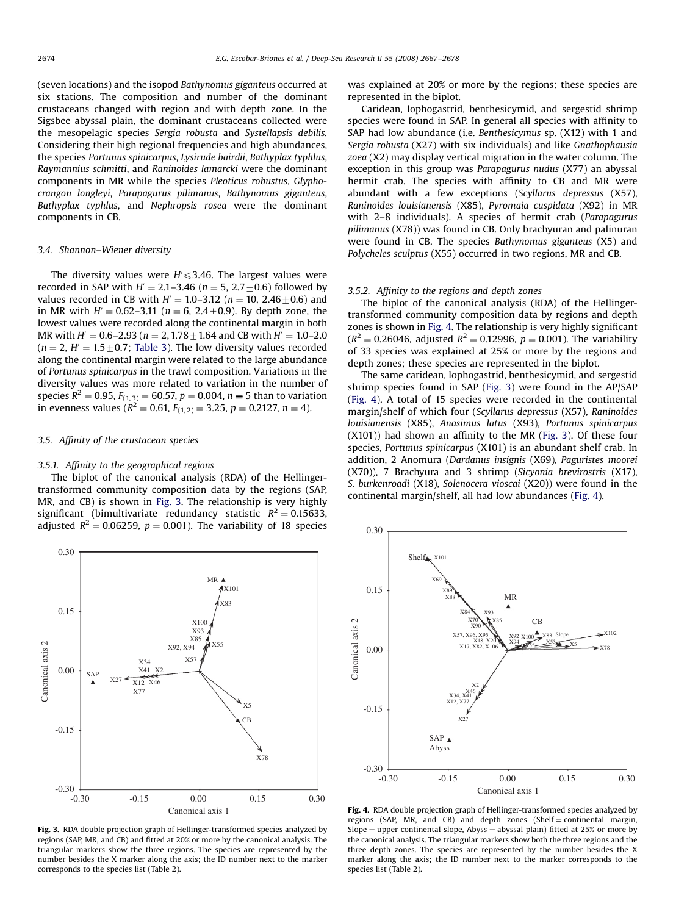<span id="page-7-0"></span>(seven locations) and the isopod Bathynomus giganteus occurred at six stations. The composition and number of the dominant crustaceans changed with region and with depth zone. In the Sigsbee abyssal plain, the dominant crustaceans collected were the mesopelagic species Sergia robusta and Systellapsis debilis. Considering their high regional frequencies and high abundances, the species Portunus spinicarpus, Lysirude bairdii, Bathyplax typhlus, Raymannius schmitti, and Raninoides lamarcki were the dominant components in MR while the species Pleoticus robustus, Glyphocrangon longleyi, Parapagurus pilimanus, Bathynomus giganteus, Bathyplax typhlus, and Nephropsis rosea were the dominant components in CB.

#### 3.4. Shannon–Wiener diversity

The diversity values were  $H' \leqslant 3.46$ . The largest values were recorded in SAP with  $H' = 2.1-3.46$  ( $n = 5, 2.7+0.6$ ) followed by values recorded in CB with  $H' = 1.0-3.12$  ( $n = 10, 2.46 \pm 0.6$ ) and in MR with  $H' = 0.62-3.11$  ( $n = 6$ , 2.4+0.9). By depth zone, the lowest values were recorded along the continental margin in both MR with  $H' = 0.6-2.93$  ( $n = 2, 1.78+1.64$  and CB with  $H' = 1.0-2.0$  $(n = 2, H = 1.5 + 0.7;$  [Table 3\)](#page-6-0). The low diversity values recorded along the continental margin were related to the large abundance of Portunus spinicarpus in the trawl composition. Variations in the diversity values was more related to variation in the number of species R $^2 = 0.95$ ,  $F_{(1,\, 3)}$   $= 60.57,$   $p = 0.004,$   $n = 5$  than to variation in evenness values ( $R^2 = 0.61$ ,  $F_{(1,2)} = 3.25$ ,  $p = 0.2127$ ,  $n = 4$ ).

#### 3.5. Affinity of the crustacean species

#### 3.5.1. Affinity to the geographical regions

The biplot of the canonical analysis (RDA) of the Hellingertransformed community composition data by the regions (SAP, MR, and CB) is shown in Fig. 3. The relationship is very highly significant (bimultivariate redundancy statistic  $R^2 = 0.15633$ , adjusted  $R^2 = 0.06259$ ,  $p = 0.001$ ). The variability of 18 species



Fig. 3. RDA double projection graph of Hellinger-transformed species analyzed by regions (SAP, MR, and CB) and fitted at 20% or more by the canonical analysis. The triangular markers show the three regions. The species are represented by the number besides the X marker along the axis; the ID number next to the marker corresponds to the species list ([Table 2](#page-4-0)).

was explained at 20% or more by the regions; these species are represented in the biplot.

Caridean, lophogastrid, benthesicymid, and sergestid shrimp species were found in SAP. In general all species with affinity to SAP had low abundance (i.e. Benthesicymus sp. (X12) with 1 and Sergia robusta (X27) with six individuals) and like Gnathophausia zoea (X2) may display vertical migration in the water column. The exception in this group was Parapagurus nudus (X77) an abyssal hermit crab. The species with affinity to CB and MR were abundant with a few exceptions (Scyllarus depressus (X57), Raninoides louisianensis (X85), Pyromaia cuspidata (X92) in MR with 2–8 individuals). A species of hermit crab (Parapagurus pilimanus (X78)) was found in CB. Only brachyuran and palinuran were found in CB. The species Bathynomus giganteus (X5) and Polycheles sculptus (X55) occurred in two regions, MR and CB.

#### 3.5.2. Affinity to the regions and depth zones

The biplot of the canonical analysis (RDA) of the Hellingertransformed community composition data by regions and depth zones is shown in Fig. 4. The relationship is very highly significant  $(R^{2} = 0.26046$ , adjusted  $R^{2} = 0.12996$ ,  $p = 0.001$ ). The variability of 33 species was explained at 25% or more by the regions and depth zones; these species are represented in the biplot.

The same caridean, lophogastrid, benthesicymid, and sergestid shrimp species found in SAP (Fig. 3) were found in the AP/SAP (Fig. 4). A total of 15 species were recorded in the continental margin/shelf of which four (Scyllarus depressus (X57), Raninoides louisianensis (X85), Anasimus latus (X93), Portunus spinicarpus (X101)) had shown an affinity to the MR (Fig. 3). Of these four species, Portunus spinicarpus (X101) is an abundant shelf crab. In addition, 2 Anomura (Dardanus insignis (X69), Paguristes moorei (X70)), 7 Brachyura and 3 shrimp (Sicyonia brevirostris (X17), S. burkenroadi (X18), Solenocera vioscai (X20)) were found in the continental margin/shelf, all had low abundances (Fig. 4).



Fig. 4. RDA double projection graph of Hellinger-transformed species analyzed by regions (SAP, MR, and CB) and depth zones (Shelf = continental margin, Slope = upper continental slope, Abyss = abyssal plain) fitted at 25% or more by the canonical analysis. The triangular markers show both the three regions and the three depth zones. The species are represented by the number besides the X marker along the axis; the ID number next to the marker corresponds to the species list [\(Table 2](#page-4-0)).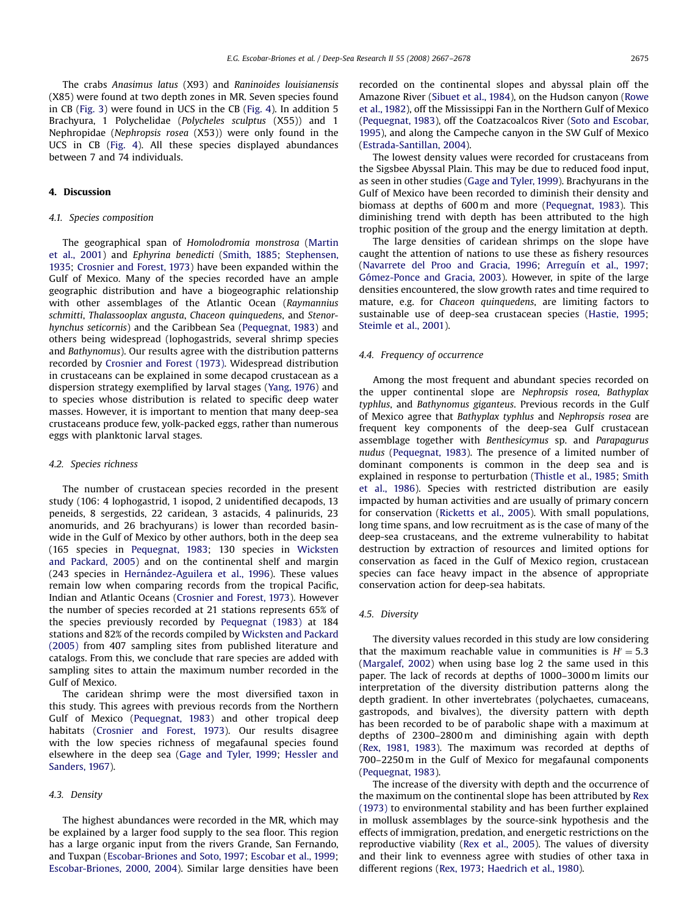The crabs Anasimus latus (X93) and Raninoides louisianensis (X85) were found at two depth zones in MR. Seven species found in CB [\(Fig. 3](#page-7-0)) were found in UCS in the CB [\(Fig. 4](#page-7-0)). In addition 5 Brachyura, 1 Polychelidae (Polycheles sculptus (X55)) and 1 Nephropidae (Nephropsis rosea (X53)) were only found in the UCS in CB ([Fig. 4\)](#page-7-0). All these species displayed abundances between 7 and 74 individuals.

# 4. Discussion

### 4.1. Species composition

The geographical span of Homolodromia monstrosa ([Martin](#page-10-0) [et al., 2001\)](#page-10-0) and Ephyrina benedicti [\(Smith, 1885](#page-10-0); [Stephensen,](#page-11-0) [1935](#page-11-0); [Crosnier and Forest, 1973\)](#page-10-0) have been expanded within the Gulf of Mexico. Many of the species recorded have an ample geographic distribution and have a biogeographic relationship with other assemblages of the Atlantic Ocean (Raymannius schmitti, Thalassooplax angusta, Chaceon quinquedens, and Stenorhynchus seticornis) and the Caribbean Sea [\(Pequegnat, 1983](#page-10-0)) and others being widespread (lophogastrids, several shrimp species and Bathynomus). Our results agree with the distribution patterns recorded by [Crosnier and Forest \(1973\).](#page-10-0) Widespread distribution in crustaceans can be explained in some decapod crustacean as a dispersion strategy exemplified by larval stages ([Yang, 1976](#page-11-0)) and to species whose distribution is related to specific deep water masses. However, it is important to mention that many deep-sea crustaceans produce few, yolk-packed eggs, rather than numerous eggs with planktonic larval stages.

#### 4.2. Species richness

The number of crustacean species recorded in the present study (106: 4 lophogastrid, 1 isopod, 2 unidentified decapods, 13 peneids, 8 sergestids, 22 caridean, 3 astacids, 4 palinurids, 23 anomurids, and 26 brachyurans) is lower than recorded basinwide in the Gulf of Mexico by other authors, both in the deep sea (165 species in [Pequegnat, 1983](#page-10-0); 130 species in [Wicksten](#page-11-0) [and Packard, 2005](#page-11-0)) and on the continental shelf and margin (243 species in Hernández-Aguilera et al., 1996). These values remain low when comparing records from the tropical Pacific, Indian and Atlantic Oceans [\(Crosnier and Forest, 1973](#page-10-0)). However the number of species recorded at 21 stations represents 65% of the species previously recorded by [Pequegnat \(1983\)](#page-10-0) at 184 stations and 82% of the records compiled by [Wicksten and Packard](#page-11-0) [\(2005\)](#page-11-0) from 407 sampling sites from published literature and catalogs. From this, we conclude that rare species are added with sampling sites to attain the maximum number recorded in the Gulf of Mexico.

The caridean shrimp were the most diversified taxon in this study. This agrees with previous records from the Northern Gulf of Mexico [\(Pequegnat, 1983](#page-10-0)) and other tropical deep habitats ([Crosnier and Forest, 1973\)](#page-10-0). Our results disagree with the low species richness of megafaunal species found elsewhere in the deep sea ([Gage and Tyler, 1999](#page-10-0); [Hessler and](#page-10-0) [Sanders, 1967](#page-10-0)).

#### 4.3. Density

The highest abundances were recorded in the MR, which may be explained by a larger food supply to the sea floor. This region has a large organic input from the rivers Grande, San Fernando, and Tuxpan [\(Escobar-Briones and Soto, 1997](#page-10-0); [Escobar et al., 1999;](#page-10-0) [Escobar-Briones, 2000, 2004\)](#page-10-0). Similar large densities have been recorded on the continental slopes and abyssal plain off the Amazone River ([Sibuet et al., 1984](#page-10-0)), on the Hudson canyon ([Rowe](#page-10-0) [et al., 1982](#page-10-0)), off the Mississippi Fan in the Northern Gulf of Mexico ([Pequegnat, 1983](#page-10-0)), off the Coatzacoalcos River [\(Soto and Escobar,](#page-11-0) [1995](#page-11-0)), and along the Campeche canyon in the SW Gulf of Mexico ([Estrada-Santillan, 2004\)](#page-10-0).

The lowest density values were recorded for crustaceans from the Sigsbee Abyssal Plain. This may be due to reduced food input, as seen in other studies ([Gage and Tyler, 1999](#page-10-0)). Brachyurans in the Gulf of Mexico have been recorded to diminish their density and biomass at depths of 600 m and more [\(Pequegnat, 1983\)](#page-10-0). This diminishing trend with depth has been attributed to the high trophic position of the group and the energy limitation at depth.

The large densities of caridean shrimps on the slope have caught the attention of nations to use these as fishery resources ([Navarrete del Proo and Gracia, 1996;](#page-10-0) Arreguín et al., 1997; Gómez-Ponce and Gracia, 2003). However, in spite of the large densities encountered, the slow growth rates and time required to mature, e.g. for Chaceon quinquedens, are limiting factors to sustainable use of deep-sea crustacean species [\(Hastie, 1995;](#page-10-0) [Steimle et al., 2001\)](#page-11-0).

#### 4.4. Frequency of occurrence

Among the most frequent and abundant species recorded on the upper continental slope are Nephropsis rosea, Bathyplax typhlus, and Bathynomus giganteus. Previous records in the Gulf of Mexico agree that Bathyplax typhlus and Nephropsis rosea are frequent key components of the deep-sea Gulf crustacean assemblage together with Benthesicymus sp. and Parapagurus nudus ([Pequegnat, 1983\)](#page-10-0). The presence of a limited number of dominant components is common in the deep sea and is explained in response to perturbation ([Thistle et al., 1985](#page-11-0); [Smith](#page-11-0) [et al., 1986\)](#page-11-0). Species with restricted distribution are easily impacted by human activities and are usually of primary concern for conservation [\(Ricketts et al., 2005\)](#page-10-0). With small populations, long time spans, and low recruitment as is the case of many of the deep-sea crustaceans, and the extreme vulnerability to habitat destruction by extraction of resources and limited options for conservation as faced in the Gulf of Mexico region, crustacean species can face heavy impact in the absence of appropriate conservation action for deep-sea habitats.

### 4.5. Diversity

The diversity values recorded in this study are low considering that the maximum reachable value in communities is  $H' = 5.3$ ([Margalef, 2002\)](#page-10-0) when using base log 2 the same used in this paper. The lack of records at depths of 1000–3000 m limits our interpretation of the diversity distribution patterns along the depth gradient. In other invertebrates (polychaetes, cumaceans, gastropods, and bivalves), the diversity pattern with depth has been recorded to be of parabolic shape with a maximum at depths of 2300–2800 m and diminishing again with depth ([Rex, 1981, 1983](#page-10-0)). The maximum was recorded at depths of 700–2250 m in the Gulf of Mexico for megafaunal components ([Pequegnat, 1983](#page-10-0)).

The increase of the diversity with depth and the occurrence of the maximum on the continental slope has been attributed by [Rex](#page-10-0) [\(1973\)](#page-10-0) to environmental stability and has been further explained in mollusk assemblages by the source-sink hypothesis and the effects of immigration, predation, and energetic restrictions on the reproductive viability ([Rex et al., 2005\)](#page-10-0). The values of diversity and their link to evenness agree with studies of other taxa in different regions [\(Rex, 1973](#page-10-0); [Haedrich et al., 1980\)](#page-10-0).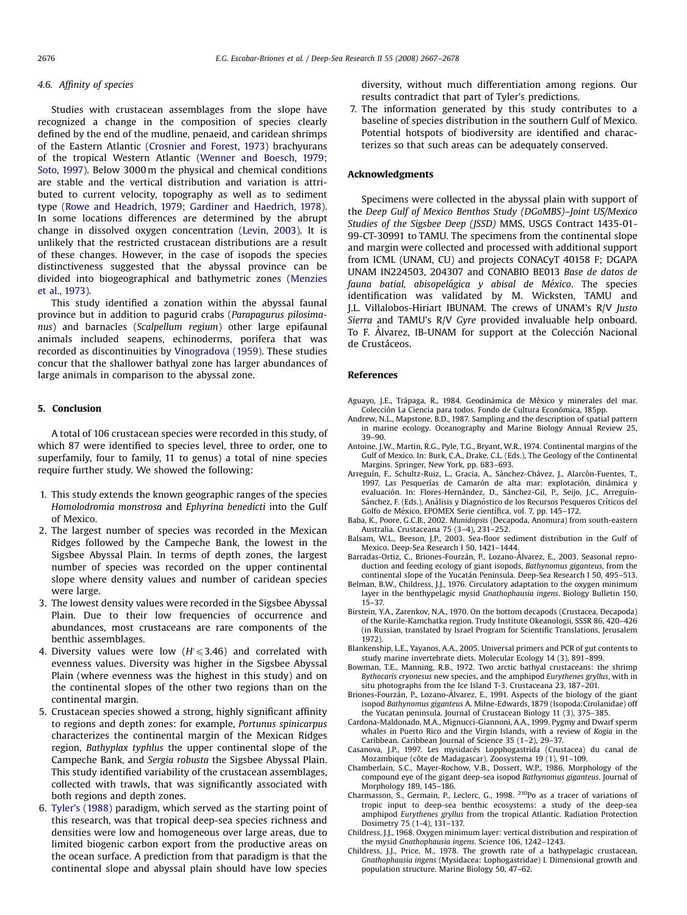#### <span id="page-9-0"></span>4.6. Affinity of species

Studies with crustacean assemblages from the slope have recognized a change in the composition of species clearly defined by the end of the mudline, penaeid, and caridean shrimps of the Eastern Atlantic [\(Crosnier and Forest, 1973\)](#page-10-0) brachyurans of the tropical Western Atlantic ([Wenner and Boesch, 1979;](#page-11-0) [Soto, 1997](#page-11-0)). Below 3000 m the physical and chemical conditions are stable and the vertical distribution and variation is attributed to current velocity, topography as well as to sediment type ([Rowe and Headrich, 1979;](#page-10-0) [Gardiner and Haedrich, 1978\)](#page-10-0). In some locations differences are determined by the abrupt change in dissolved oxygen concentration [\(Levin, 2003](#page-10-0)). It is unlikely that the restricted crustacean distributions are a result of these changes. However, in the case of isopods the species distinctiveness suggested that the abyssal province can be divided into biogeographical and bathymetric zones [\(Menzies](#page-10-0) [et al., 1973](#page-10-0)).

This study identified a zonation within the abyssal faunal province but in addition to pagurid crabs (Parapagurus pilosimanus) and barnacles (Scalpellum regium) other large epifaunal animals included seapens, echinoderms, porifera that was recorded as discontinuities by [Vinogradova \(1959\).](#page-11-0) These studies concur that the shallower bathyal zone has larger abundances of large animals in comparison to the abyssal zone.

# 5. Conclusion

A total of 106 crustacean species were recorded in this study, of which 87 were identified to species level, three to order, one to superfamily, four to family, 11 to genus) a total of nine species require further study. We showed the following:

- 1. This study extends the known geographic ranges of the species Homolodromia monstrosa and Ephyrina benedicti into the Gulf of Mexico.
- 2. The largest number of species was recorded in the Mexican Ridges followed by the Campeche Bank, the lowest in the Sigsbee Abyssal Plain. In terms of depth zones, the largest number of species was recorded on the upper continental slope where density values and number of caridean species were large.
- 3. The lowest density values were recorded in the Sigsbee Abyssal Plain. Due to their low frequencies of occurrence and abundances, most crustaceans are rare components of the benthic assemblages.
- 4. Diversity values were low  $(H/\leqslant 3.46)$  and correlated with evenness values. Diversity was higher in the Sigsbee Abyssal Plain (where evenness was the highest in this study) and on the continental slopes of the other two regions than on the continental margin.
- 5. Crustacean species showed a strong, highly significant affinity to regions and depth zones: for example, Portunus spinicarpus characterizes the continental margin of the Mexican Ridges region, Bathyplax typhlus the upper continental slope of the Campeche Bank, and Sergia robusta the Sigsbee Abyssal Plain. This study identified variability of the crustacean assemblages, collected with trawls, that was significantly associated with both regions and depth zones.
- 6. [Tyler's \(1988\)](#page-11-0) paradigm, which served as the starting point of this research, was that tropical deep-sea species richness and densities were low and homogeneous over large areas, due to limited biogenic carbon export from the productive areas on the ocean surface. A prediction from that paradigm is that the continental slope and abyssal plain should have low species

diversity, without much differentiation among regions. Our results contradict that part of Tyler's predictions.

7. The information generated by this study contributes to a baseline of species distribution in the southern Gulf of Mexico. Potential hotspots of biodiversity are identified and characterizes so that such areas can be adequately conserved.

#### Acknowledgments

Specimens were collected in the abyssal plain with support of the Deep Gulf of Mexico Benthos Study (DGoMBS)–Joint US/Mexico Studies of the Sigsbee Deep (JSSD) MMS, USGS Contract 1435-01- 99-CT-30991 to TAMU. The specimens from the continental slope and margin were collected and processed with additional support from ICML (UNAM, CU) and projects CONACyT 40158 F; DGAPA UNAM IN224503, 204307 and CONABIO BE013 Base de datos de fauna batial, abisopelágica y abisal de México. The species identification was validated by M. Wicksten, TAMU and J.L. Villalobos-Hiriart IBUNAM. The crews of UNAM's R/V Justo Sierra and TAMU's R/V Gyre provided invaluable help onboard. To F. Álvarez, IB-UNAM for support at the Colección Nacional de Crustáceos.

#### References

Aguayo, J.E., Trápaga, R., 1984. Geodinámica de México y minerales del mar. Colección La Ciencia para todos. Fondo de Cultura Económica, 185pp.

- Andrew, N.L., Mapstone, B.D., 1987. Sampling and the description of spatial pattern in marine ecology. Oceanography and Marine Biology Annual Review 25, 39–90.
- Antoine, J.W., Martin, R.G., Pyle, T.G., Bryant, W.R., 1974. Continental margins of the Gulf of Mexico. In: Burk, C.A., Drake, C.L. (Eds.), The Geology of the Continental Margins. Springer, New York, pp. 683–693.
- Arreguín, F., Schultz-Ruiz, L., Gracia, A., Sánchez-Chávez, J., Alarcón-Fuentes, T., 1997. Las Pesquerías de Camarón de alta mar: explotación, dinámica y<br>evaluación. In: Flores-Hernández, D., Sánchez-Gil, P., Seijo, J.C., Arreguín-Sánchez, F. (Eds.), Análisis y Diagnóstico de los Recursos Pesqueros Críticos del Golfo de México, EPOMEX Serie científica, vol. 7, pp. 145-172.
- Baba, K., Poore, G.C.B., 2002. Munidopsis (Decapoda, Anomura) from south-eastern Australia. Crustaceana 75 (3–4), 231–252.
- Balsam, W.L., Beeson, J.P., 2003. Sea-floor sediment distribution in the Gulf of Mexico. Deep-Sea Research I 50, 1421–1444.
- Barradas-Ortiz, C., Briones-Fourzán, P., Lozano-Álvarez, E., 2003. Seasonal reproduction and feeding ecology of giant isopods, Bathynomus giganteus, from the continental slope of the Yucatán Peninsula. Deep-Sea Research I 50, 495–513.
- Belman, B.W., Childress, J.J., 1976. Circulatory adaptation to the oxygen minimum layer in the benthypelagic mysid Gnathophausia ingens. Biology Bulletin 150, 15–37.
- Birstein, Y.A., Zarenkov, N.A., 1970. On the bottom decapods (Crustacea, Decapoda) of the Kurile-Kamchatka region. Trudy Institute Okeanologii, SSSR 86, 420–426 (in Russian, translated by Israel Program for Scientific Translations, Jerusalem 1972).
- Blankenship, L.E., Yayanos, A.A., 2005. Universal primers and PCR of gut contents to study marine invertebrate diets. Molecular Ecology 14 (3), 891–899.
- Bowman, T.E., Manning, R.B., 1972. Two arctic bathyal crustaceans: the shrimp Bythocaris cryonesus new species, and the amphipod Eurythenes gryllus, with in situ photographs from the Ice Island T-3. Crustaceana 23, 187–201.
- Briones-Fourzan, P., Lozano-Álvarez, E., 1991. Aspects of the biology of the giant isopod Bathynomus giganteus A. Milne-Edwards, 1879 (Isopoda:Cirolanidae) off the Yucatan peninsula. Journal of Crustacean Biology 11 (3), 375–385.
- Cardona-Maldonado, M.A., Mignucci-Giannoni, A.A., 1999. Pygmy and Dwarf sperm whales in Puerto Rico and the Virgin Islands, with a review of Kogia in the Caribbean. Caribbean Journal of Science 35 (1–2), 29–37.
- Casanova, J.P., 1997. Les mysidacés Lopphogastrida (Crustacea) du canal de Mozambique (côte de Madagascar). Zoosystema 19 (1), 91-109.
- Chamberlain, S.C., Mayer-Rochow, V.B., Dossert, W.P., 1986. Morphology of the compound eye of the gigant deep-sea isopod Bathynomus giganteus. Journal of Morphology 189, 145–186.
- Charmasson, S., Germain, P., Leclerc, G., 1998. <sup>210</sup>Po as a tracer of variations of tropic input to deep-sea benthic ecosystems: a study of the deep-sea amphipod Eurythenes gryllus from the tropical Atlantic. Radiation Protection Dosimetry 75 (1-4), 131–137.
- Childress, J.J., 1968. Oxygen minimum layer: vertical distribution and respiration of the mysid Gnathophausia ingens. Science 106, 1242–1243.
- Childress, J.J., Price, M., 1978. The growth rate of a bathypelagic crustacean, Gnathophausia ingens (Mysidacea: Lophogastridae) I. Dimensional growth and population structure. Marine Biology 50, 47–62.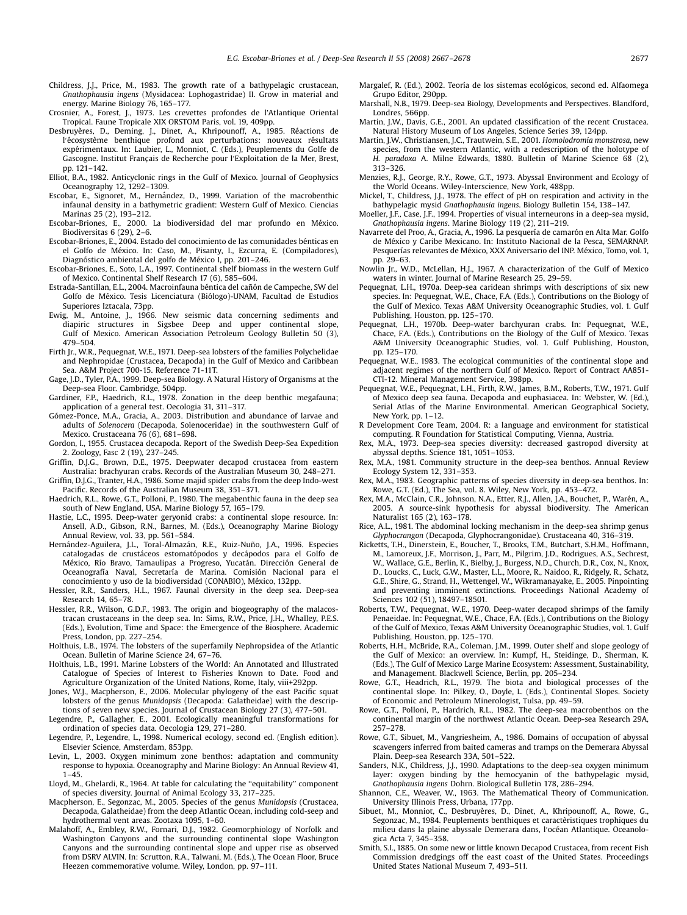- <span id="page-10-0"></span>Childress, J.J., Price, M., 1983. The growth rate of a bathypelagic crustacean, Gnathophausia ingens (Mysidacea: Lophogastridae) II. Grow in material and energy. Marine Biology 76, 165–177.
- Crosnier, A., Forest, J., 1973. Les crevettes profondes de l'Atlantique Oriental Tropical. Faune Tropicale XIX ORSTOM Paris, vol. 19, 409pp.
- Desbruyères, D., Deming, J., Dinet, A., Khripounoff, A., 1985. Réactions de l'écosystème benthique profond aux perturbations: nouveaux résultats<br>expérimentaux. In: Laubier, L., Monniot, C. (Eds.), Peuplements du Golfe de Gascogne. Institut Français de Recherche pour l'Exploitation de la Mer, Brest, pp. 121–142.
- Elliot, B.A., 1982. Anticyclonic rings in the Gulf of Mexico. Journal of Geophysics Oceanography 12, 1292–1309.
- Escobar, E., Signoret, M., Herna´ndez, D., 1999. Variation of the macrobenthic infaunal density in a bathymetric gradient: Western Gulf of Mexico. Ciencias
- Marinas 25 (2), 193–212.<br>Escobar-Briones, E., 2000. La biodiversidad del mar profundo en México. Biodiversitas 6 (29), 2–6.
- Escobar-Briones, E., 2004. Estado del conocimiento de las comunidades bénticas en el Golfo de México. In: Caso, M., Pisanty, I., Ezcurra, E. (Compiladores), Diagnóstico ambiental del golfo de México I, pp. 201–246.
- Escobar-Briones, E., Soto, L.A., 1997. Continental shelf biomass in the western Gulf of Mexico. Continental Shelf Research 17 (6), 585–604.
- Estrada-Santillan, E.L., 2004. Macroinfauna béntica del cañón de Campeche, SW del Golfo de México. Tesis Licenciatura (Biólogo)-UNAM, Facultad de Estudios Superiores Iztacala, 73pp.
- Ewig, M., Antoine, J., 1966. New seismic data concerning sediments and diapiric structures in Sigsbee Deep and upper continental slope, Gulf of Mexico. American Association Petroleum Geology Bulletin 50 (3), 479–504.
- Firth Jr., W.R., Pequegnat, W.E., 1971. Deep-sea lobsters of the families Polychelidae and Nephropidae (Crustacea, Decapoda) in the Gulf of Mexico and Caribbean Sea. A&M Project 700-15. Reference 71-11T.
- Gage, J.D., Tyler, P.A., 1999. Deep-sea Biology. A Natural History of Organisms at the Deep-sea Floor. Cambridge, 504pp.
- Gardiner, F.P., Haedrich, R.L., 1978. Zonation in the deep benthic megafauna; application of a general test. Oecologia 31, 311–317.
- Gómez-Ponce, M.A., Gracia, A., 2003. Distribution and abundance of larvae and adults of Solenocera (Decapoda, Solenoceridae) in the southwestern Gulf of Mexico. Crustaceana 76 (6), 681–698.
- Gordon, I., 1955. Crustacea decapoda. Report of the Swedish Deep-Sea Expedition 2. Zoology, Fasc 2 (19), 237–245.
- Griffin, D.J.G., Brown, D.E., 1975. Deepwater decapod crustacea from eastern Australia: brachyuran crabs. Records of the Australian Museum 30, 248–271.
- Griffin, D.J.G., Tranter, H.A., 1986. Some majid spider crabs from the deep Indo-west Pacific. Records of the Australian Museum 38, 351–371.
- Haedrich, R.L., Rowe, G.T., Polloni, P., 1980. The megabenthic fauna in the deep sea south of New England, USA. Marine Biology 57, 165–179.
- Hastie, L.C., 1995. Deep-water geryonid crabs: a continental slope resource. In: Ansell, A.D., Gibson, R.N., Barnes, M. (Eds.), Oceanography Marine Biology Annual Review, vol. 33, pp. 561–584.
- Hernández-Aguilera, J.L., Toral-Almazán, R.E., Ruiz-Nuño, J.A., 1996. Especies catalogadas de crustáceos estomatópodos y decápodos para el Golfo de México, Río Bravo, Tamaulipas a Progreso, Yucatán. Dirección General de Oceanografía Naval, Secretaría de Marina. Comisión Nacional para el conocimiento y uso de la biodiversidad (CONABIO), México, 132pp.
- Hessler, R.R., Sanders, H.L., 1967. Faunal diversity in the deep sea. Deep-sea Research 14, 65–78.
- Hessler, R.R., Wilson, G.D.F., 1983. The origin and biogeography of the malacostracan crustaceans in the deep sea. In: Sims, R.W., Price, J.H., Whalley, P.E.S. (Eds.), Evolution, Time and Space: the Emergence of the Biosphere. Academic Press, London, pp. 227–254.
- Holthuis, L.B., 1974. The lobsters of the superfamily Nephropsidea of the Atlantic Ocean. Bulletin of Marine Science 24, 67–76.
- Holthuis, L.B., 1991. Marine Lobsters of the World: An Annotated and Illustrated Catalogue of Species of Interest to Fisheries Known to Date. Food and Agriculture Organization of the United Nations, Rome, Italy, viii+292pp.
- Jones, W.J., Macpherson, E., 2006. Molecular phylogeny of the east Pacific squat lobsters of the genus Munidopsis (Decapoda: Galatheidae) with the descriptions of seven new species. Journal of Crustacean Biology 27 (3), 477–501.
- Legendre, P., Gallagher, E., 2001. Ecologically meaningful transformations for ordination of species data. Oecologia 129, 271–280.
- Legendre, P., Legendre, L., 1998. Numerical ecology, second ed. (English edition). Elsevier Science, Amsterdam, 853pp.
- Levin, L., 2003. Oxygen minimum zone benthos: adaptation and community response to hypoxia. Oceanography and Marine Biology: An Annual Review 41, 1–45.
- Lloyd, M., Ghelardi, R., 1964. At table for calculating the ''equitability'' component of species diversity. Journal of Animal Ecology 33, 217–225.
- Macpherson, E., Segonzac, M., 2005. Species of the genus Munidopsis (Crustacea, Decapoda, Galatheidae) from the deep Atlantic Ocean, including cold-seep and hydrothermal vent areas. Zootaxa 1095, 1–60.
- Malahoff, A., Embley, R.W., Fornari, D.J., 1982. Geomorphiology of Norfolk and Washington Canyons and the surrounding continental slope Washington Canyons and the surrounding continental slope and upper rise as observed from DSRV ALVIN. In: Scrutton, R.A., Talwani, M. (Eds.), The Ocean Floor, Bruce Heezen commemorative volume. Wiley, London, pp. 97–111.
- Margalef, R. (Ed.), 2002. Teoría de los sistemas ecológicos, second ed. Alfaomega Grupo Editor, 290pp.
- Marshall, N.B., 1979. Deep-sea Biology, Developments and Perspectives. Blandford, Londres, 566pp.
- Martin, J.W., Davis, G.E., 2001. An updated classification of the recent Crustacea. Natural History Museum of Los Angeles, Science Series 39, 124pp.
- Martin, J.W., Christiansen, J.C., Trautwein, S.E., 2001. Homolodromia monstrosa, new species, from the western Atlantic, with a redescription of the holotype of H. paradoxa A. Milne Edwards, 1880. Bulletin of Marine Science  $\overline{68}$  (2), 313–326.
- Menzies, R.J., George, R.Y., Rowe, G.T., 1973. Abyssal Environment and Ecology of the World Oceans. Wiley-Interscience, New York, 488pp.
- Mickel, T., Childress, J.J., 1978. The effect of pH on respiration and activity in the bathypelagic mysid Gnathophausia ingens. Biology Bulletin 154, 138–147.
- Moeller, J.F., Case, J.F., 1994. Properties of visual interneurons in a deep-sea mysid, Gnathophausia ingens. Marine Biology 119 (2), 211–219.
- Navarrete del Proo, A., Gracia, A., 1996. La pesquería de camarón en Alta Mar. Golfo de Me´xico y Caribe Mexicano. In: Instituto Nacional de la Pesca, SEMARNAP. Pesquerías relevantes de México, XXX Aniversario del INP. México, Tomo, vol. 1, pp. 29–63.
- Nowlin Jr., W.D., McLellan, H.J., 1967. A characterization of the Gulf of Mexico with yn, will waters in winter. Journal of Marine Research 25, 29–59.
- Pequegnat, L.H., 1970a. Deep-sea caridean shrimps with descriptions of six new species. In: Pequegnat, W.E., Chace, F.A. (Eds.), Contributions on the Biology of the Gulf of Mexico. Texas A&M University Oceanographic Studies, vol. 1. Gulf Publishing, Houston, pp. 125–170.
- Pequegnat, L.H., 1970b. Deep-water barchyuran crabs. In: Pequegnat, W.E., Chace, F.A. (Eds.), Contributions on the Biology of the Gulf of Mexico. Texas A&M University Oceanographic Studies, vol. 1. Gulf Publishing, Houston, pp. 125–170.
- Pequegnat, W.E., 1983. The ecological communities of the continental slope and adjacent regimes of the northern Gulf of Mexico. Report of Contract AA851- CTI-12. Mineral Management Service, 398pp.
- Pequegnat, W.E., Pequegnat, L.H., Firth, R.W., James, B.M., Roberts, T.W., 1971. Gulf of Mexico deep sea fauna. Decapoda and euphasiacea. In: Webster, W. (Ed.), Serial Atlas of the Marine Environmental. American Geographical Society, New York, pp. 1–12.
- R Development Core Team, 2004. R: a language and environment for statistical computing. R Foundation for Statistical Computing, Vienna, Austria.
- Rex, M.A., 1973. Deep-sea species diversity: decreased gastropod diversity at abyssal depths. Science 181, 1051–1053.
- Rex, M.A., 1981. Community structure in the deep-sea benthos. Annual Review Ecology System 12, 331–353.
- Rex, M.A., 1983. Geographic patterns of species diversity in deep-sea benthos. In: Rowe, G.T. (Ed.), The Sea, vol. 8. Wiley, New York, pp. 453–472.
- Rex, M.A., McClain, C.R., Johnson, N.A., Etter, R.J., Allen, J.A., Bouchet, P., Warén, A., 2005. A source-sink hypothesis for abyssal biodiversity. The American Naturalist 165 (2), 163–178.
- Rice, A.L., 1981. The abdominal locking mechanism in the deep-sea shrimp genus Glyphocrangon (Decapoda, Glyphocrangonidae). Crustaceana 40, 316–319.
- Ricketts, T.H., Dinerstein, E., Boucher, T., Brooks, T.M., Butchart, S.H.M., Hoffmann, M., Lamoreux, J.F., Morrison, J., Parr, M., Pilgrim, J.D., Rodrigues, A.S., Sechrest, W., Wallace, G.E., Berlin, K., Bielby, J., Burgess, N.D., Church, D.R., Cox, N., Knox, D., Loucks, C., Luck, G.W., Master, L.L., Moore, R., Naidoo, R., Ridgely, R., Schatz, G.E., Shire, G., Strand, H., Wettengel, W., Wikramanayake, E., 2005. Pinpointing and preventing imminent extinctions. Proceedings National Academy of Sciences 102 (51), 18497–18501.
- Roberts, T.W., Pequegnat, W.E., 1970. Deep-water decapod shrimps of the family Penaeidae. In: Pequegnat, W.E., Chace, F.A. (Eds.), Contributions on the Biology of the Gulf of Mexico, Texas A&M University Oceanographic Studies, vol. 1. Gulf Publishing, Houston, pp. 125–170.
- Roberts, H.H., McBride, R.A., Coleman, J.M., 1999. Outer shelf and slope geology of the Gulf of Mexico: an overview. In: Kumpf, H., Steidinge, D., Sherman, K. (Eds.), The Gulf of Mexico Large Marine Ecosystem: Assessment, Sustainability, and Management. Blackwell Science, Berlin, pp. 205–234.
- Rowe, G.T., Headrich, R.L., 1979. The biota and biological processes of the continental slope. In: Pilkey, O., Doyle, L. (Eds.), Continental Slopes. Society of Economic and Petroleum Minerologist, Tulsa, pp. 49–59.
- Rowe, G.T., Polloni, P., Hardrich, R.L., 1982. The deep-sea macrobenthos on the continental margin of the northwest Atlantic Ocean. Deep-sea Research 29A, 257–278.
- Rowe, G.T., Sibuet, M., Vangriesheim, A., 1986. Domains of occupation of abyssal scavengers inferred from baited cameras and tramps on the Demerara Abyssal Plain. Deep-sea Research 33A, 501–522.
- Sanders, N.K., Childress, J.J., 1990. Adaptations to the deep-sea oxygen minimum layer: oxygen binding by the hemocyanin of the bathypelagic mysid, Gnathophausia ingens Dohrn. Biological Bulletin 178, 286–294.
- Shannon, C.E., Weaver, W., 1963. The Mathematical Theory of Communication. University Illinois Press, Urbana, 177pp.
- Sibuet, M., Monniot, C., Desbruyères, D., Dinet, A., Khripounoff, A., Rowe, G., Segonzac, M., 1984. Peuplements benthiques et caractèristiques trophiques du milieu dans la plaine abyssale Demerara dans, l'océan Atlantique. Oceanologica Acta 7, 345–358.
- Smith, S.I., 1885. On some new or little known Decapod Crustacea, from recent Fish Commission dredgings off the east coast of the United States. Proceedings United States National Museum 7, 493–511.